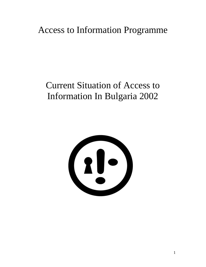# Access to Information Programme

# Current Situation of Access to Information In Bulgaria 2002

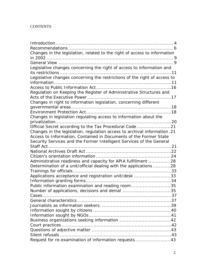# **CONTENTS**

| Changes in the legislation, related to the right of access to information |  |
|---------------------------------------------------------------------------|--|
|                                                                           |  |
|                                                                           |  |
| Legislative changes concerning the right of access to information and     |  |
|                                                                           |  |
| Legislative changes concerning the restrictions of the right of access to |  |
|                                                                           |  |
|                                                                           |  |
| Regulation on Keeping the Register of Administrative Structures and       |  |
|                                                                           |  |
| Changes in right to information legislation, concerning different         |  |
|                                                                           |  |
|                                                                           |  |
| Changes in legislation regulating access to information about the         |  |
|                                                                           |  |
| Official Secret according to the Tax Procedural Code 21                   |  |
| Changes in the legislation, regulation access to archival information.21  |  |
| Access to Information, Contained in Documents of the Former State         |  |
| Security Services and the Former Intelligent Services of the General      |  |
|                                                                           |  |
|                                                                           |  |
|                                                                           |  |
| Administrative readiness and capacity for APIA fulfillment 28             |  |
| Determination of a unit/official dealing with the applications 28         |  |
|                                                                           |  |
| Applications acceptance and registration unit/desk 33                     |  |
|                                                                           |  |
| Public information examination and reading room35                         |  |
| Number of applications, decisions and denial 35                           |  |
|                                                                           |  |
|                                                                           |  |
|                                                                           |  |
|                                                                           |  |
|                                                                           |  |
|                                                                           |  |
|                                                                           |  |
|                                                                           |  |
|                                                                           |  |
| Request for re-examination of information requests43                      |  |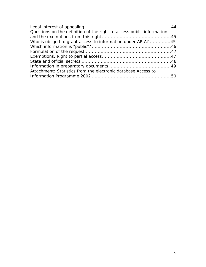| Questions on the definition of the right to access public information |  |
|-----------------------------------------------------------------------|--|
|                                                                       |  |
| Who is obliged to grant access to information under APIA? 45          |  |
|                                                                       |  |
|                                                                       |  |
|                                                                       |  |
|                                                                       |  |
|                                                                       |  |
| Attachment: Statistics from the electronic database Access to         |  |
|                                                                       |  |
|                                                                       |  |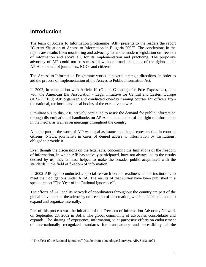# **Introduction**

1

The team of Access to Information Programme (AIP) presents to the readers the report "Current Situation of Access to Information in Bulgaria 2002". The conclusions in the report are results from monitoring and advocacy for more modern legislation on freedom of information and above all, for its implementation and practicing. The purposive advocacy of AIP could not be successful without broad practicing of the rights under APIA on behalf of journalists, NGOs and citizens.

The Access to Information Programme works in several strategic directions, in order to aid the process of implementation of the Access to Public Information Act.

In 2002, in cooperation with Article 19 (Global Campaign for Free Expression), later with the American Bar Association - Legal Initiative for Central and Eastern Europe (ABA CEELI) AIP organized and conducted one-day training courses for officers from the national, territorial and local bodies of the executive power.

Simultaneous to this, AIP actively continued to assist the demand for public information through dissemination of handbooks on APIA and elucidation of the right to information in the media, as well as on meetings throughout the country.

A major part of the work of AIP was legal assistance and legal representation in court of citizens, NGOs, journalists in cases of denied access to information by institutions, obliged to provide it.

Even though the discussions on the legal acts, concerning the limitations of the freedom of information, in which AIP has actively participated, have not always led to the results desired by us, they at least helped to make the broader public acquainted with the standards in the field of freedom of information.

In 2002 AIP again conducted a special research on the readiness of the institutions to meet their obligations under APIA. The results of that survey have been published in a special report "The Year of the Rational Ignorance"<sup>1</sup>.

The efforts of AIP and its network of coordinators throughout the country are part of the global movement of the advocacy on freedom of information, which in 2002 continued to expand and organize internally.

Part of this process was the initiation of the Freedom of Information Advocacy Network on September 28, 2002 in Sofia. The global community of advocates consolidates and expands. The sharing of experience, information, joint purposive efforts on endorsement of internationally recognized standards for transparency and accessibility of the

<sup>&</sup>lt;sup>1</sup> "The Year of the Rational Ignorance" (results from a sociological survey), AIP, Sofia, 2002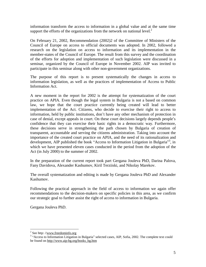information transform the access to information in a global value and at the same time support the efforts of the organizations from the network on national level.<sup>2</sup>

On February 21, 2002, Recommendation (2002)2 of the Committee of Ministers of the Council of Europe on access to official documents was adopted. In 2002, followed a research on the legislation on access to information and its implementation in the member-states of the Council of Europe. The result from this survey and the coordination of the efforts for adoption and implementation of such legislation were discussed in a seminar, organized by the Council of Europe in November 2002. AIP was invited to participate in this seminar along with other non-government organizations.

The purpose of this report is to present systematically the changes in access to information legislation, as well as the practices of implementation of Access to Public Information Act.

A new moment in the report for 2002 is the attempt for systematization of the court practice on APIA. Even though the legal system in Bulgaria is not a based on common law, we hope that the court practice currently being created will lead to better implementation of the Act. Citizens, who decide to exercise their right to access to information, held by public institutions, don't have any other mechanism of protection in case of denial, except appeals in court. On these court decisions largely depends people's confidence that they can exercise their basic rights in a democratic way. Furthermore, these decisions serve in strengthening the path chosen by Bulgaria of creation of transparent, accountable and serving the citizens administration. Taking into account the importance of the created court practice on APIA, and the need of its rationalization and development, AIP published the book "Access to Information Litigation in Bulgaria"<sup>3</sup>, in which we have presented eleven cases conducted in the period from the adoption of the Act (in July 2000) to the summer of 2002.

In the preparation of the current report took part Gergana Jouleva PhD, Darina Palova, Fany Davidova, Alexander Kashumov, Kiril Terziiski, and Nikolay Marekov.

The overall systematization and editing is made by Gergana Jouleva PhD and Alexander Kashumov.

Following the practical approach in the field of access to information we again offer recommendations to the decision-makers on specific policies in this area, as we confirm our strategic goal to further assist the right of access to information in Bulgaria.

Gergana Jouleva PhD.

<sup>&</sup>lt;sup>2</sup> See http: //<u>[www.freedominfo.org](http://www.freedominfo.org)</u><br><sup>3</sup> "Access to Information Litigation in Bulgaria" selected cases, AIP, Sofia, 2002. The complete text could be found on [http://www.aip-bg.org/books\\_bg.htm](http://www.aip-bg.org/books_bg.htm)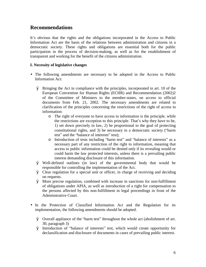# **Recommendations**

It's obvious that the rights and the obligations incorporated in the Access to Public Information Act are the basis of the relations between administration and citizens in a democratic society. These rights and obligations are essential both for the public participation in the process of decision-making, as well as for the establishment of transparent and working for the benefit of the citizens administration.

### **І. Necessity of legislative changes**

- The following amendments are necessary to be adopted in the Access to Public Information Act:
	- Ø Bringing the Act in compliance with the principles, incorporated in art. 10 of the European Convention for Human Rights (ECHR) and Recommendation (2002)2 of the Committee of Ministers to the member-states, on access to official documents from Feb. 21, 2002. The necessary amendments are related to clarification of the principles concerning the restrictions of the right of access to information:
		- o The right of everyone to have access to information is the principle, while the restrictions are exception to this principle. That's why they have to be, 1) set down precisely in law, 2) be proportional to the goal of protecting constitutional rights, and 3) be necessary in a democratic society ("harm test" and the "balance of interests" test);
		- o Introduction of tests including "harm test" and "balance of interests" as a necessary part of any restriction of the right to information, meaning that access to public information could be denied only if its revealing would or could harm the law protected interests, unless there is a prevailing public interest demanding disclosure of this information.
	- Ø Well-defined outlines (in law) of the governmental body that would be responsible for controlling the implementation of the Act.
	- Ø Clear regulation for a special unit or officer, in charge of receiving and deciding on requests.
	- Ø More precise regulation, combined with increase in sanctions for non-fulfillment of obligations under APIA, as well as introduction of a right for compensation to the persons affected by this non-fulfillment in legal proceedings in front of the Administrative Court.
- In the Protection of Classified Information Act and the Regulation for its implementation, the following amendments should be adopted.
	- Ø Overall appliance of the "harm test" throughout the whole act (abolishment of art. 30, paragraph 3)
	- Ø Introduction of "balance of interests" test, which would create opportunity for declassification and disclosure of documents in cases of prevailing public interest.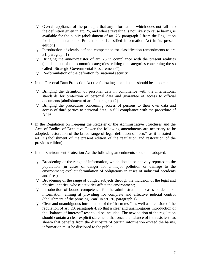- Ø Overall appliance of the principle that any information, which does not fall into the definition given in art. 25, and whose revealing is not likely to cause harms, is available for the public (abolishment of art. 25, paragraph 2 from the Regulation for Implementation of Protection of Classified Information Act in its present edition)
- Ø Introduction of clearly defined competence for classification (amendments to art. 31, paragraph 1)
- Ø Bringing the annex-register of art. 25 in compliance with the present realities (abolishment of the economic categories, editing the categories concerning the so called "Strategic Governmental Procurements");
- Ø Re-formulation of the definition for national security
- In the Personal Data Protection Act the following amendments should be adopted:
	- Ø Bringing the definition of personal data in compliance with the international standards for protection of personal data and guarantee of access to official documents (abolishment of art. 2, paragraph 2)
	- Ø Bringing the procedures concerning access of persons to their own data and access of third parties to personal data, in full compliance with the procedure of APIA
- In the Regulation on Keeping the Register of the Administrative Structures and the Acts of Bodies of Executive Power the following amendments are necessary to be adopted: restoration of the broad range of legal definition of "acts", as it is stated in art. 2 (abolishment of the present edition of the regulation and restoration of the previous edition)
- In the Environment Protection Act the following amendments should be adopted:
	- Ø Broadening of the range of information, which should be actively reported to the population (in cases of danger for a major pollution or damage to the environment; explicit formulation of obligations in cases of industrial accidents and fires)
	- Ø Broadening of the range of obliged subjects through the inclusion of the legal and physical entities, whose activities affect the environment;
	- Ø Introduction of bound competence for the administration in cases of denial of information, aiming at providing for complete and effective judicial control (abolishment of the phrasing "can" in art. 20, paragraph 1)
	- Ø Clear and unambiguous introduction of the "harm test", as well as precision of the regulation of art. 20, paragraph 4, so that a clear and unambiguous introduction of the "balance of interests" test could be included. The new edition of the regulation should contain a clear explicit statement, that once the balance of interests test has shown that benefits from the disclosure of certain information exceed the harms, information must be disclosed to the public.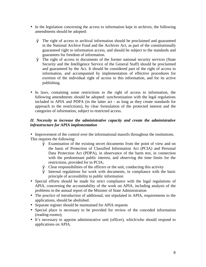- In the legislation concerning the access to information kept in archives, the following amendments should be adopted:
	- Ø The right of access to archival information should be proclaimed and guaranteed in the National Archive Fund and the Archives Act, as part of the constitutionally guaranteed right to information access, and should be subject to the standards and guarantees for freedom of information.
	- Ø The right of access to documents of the former national security services (State Security and the Intelligence Service of the General Staff) should be proclaimed and guaranteed by the Act. It should be considered part of the right of access to information, and accompanied by implementation of effective procedures for exertion of the individual right of access to this information, and for its active publishing.
- In laws, containing some restrictions to the right of access to information, the following amendments should be adopted: synchronization with the legal regulations included in APIA and PDPA (in the latter act - as long as they create standards for approach to the restrictions), by clear formulation of the protected interest and the categories of information, subject to restricted access.

### *ІІ. Necessity to increase the administrative capacity and create the administrative infrastructure for APIA implementation*

• Improvement of the control over the informational massifs throughout the institutions. This requires the following:

- Ø Examination of the existing secret documents from the point of view and on the basis of Protection of Classified Information Act (PCIA) and Personal Data Protection Act (PDPA), in observance of the harm test, in connection with the predominant public interest, and observing the time limits for the restrictions, provided for in PCIA;
- Ø Clear responsibilities of the officers or the unit, conducting this activity
- Ø Internal regulations for work with documents, in compliance with the basic principle of accessibility to public information
- Special efforts should be made for strict compliance with the legal regulations of APIA, concerning the accountability of the work on APIA, including analysis of the problems in the annual report of the Minister of State Administration
- The practice of introduction of additional, not stipulated in APIA, requirements to the applications, should be abolished.
- Separate register should be maintained for APIA requests
- Special place is necessary to be provided for review of the conceded information (reading-rooms);
- It's necessary to appoint administrative unit (officer), which/who should respond to applications on APIA.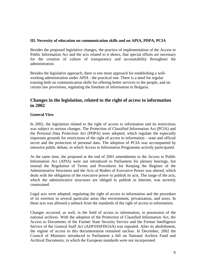### **ІІІ. Necessity of education on communication skills and on APIA, PDPA, PCIA**

Besides the proposed legislative changes, the practice of implementation of the Access to Public Information Act and the acts related to it shows, that special efforts are necessary for the creation of culture of transparency and accountability throughout the administration.

Besides the legislative approach, there is one more approach for establishing a wellworking administration under APIA - the practical one. There is a need for regular training both on communication skills for offering better services to the people, and on certain law provisions, regulating the freedom of information in Bulgaria.

# **Changes in the legislation, related to the right of access to information in 2002**

### **General View**

In 2002, the legislation related to the right of access to information and its restrictions was subject to serious changes. The Protection of Classified Information Act (PCIA) and the Personal Data Protection Act (PDPA) were adopted, which regulate the especially important grounds for restrictions of the right of access to information – state and official secret and the protection of personal data. The adoption of PCIA was accompanied by intensive public debate, in which Access to Information Programme actively participated.

At the same time, the proposed at the end of 2001 amendments to the Access to Public Information Act (APIA) were not introduced to Parliament for plenary hearings, but instead the Regulation of Terms and Procedures for Keeping the Register of the Administrative Structures and the Acts of Bodies of Executive Power was altered, which deals with the obligation of the executive power to publish its acts. The range of the acts, which the administrative structures are obliged to publish in Internet, was severely constrained.

Legal acts were adopted, regulating the right of access to information and the procedure of its exertion in several particular areas like environment, privatization, and taxes. In these acts was allowed a setback from the standards of the right of access to information.

Changes occurred, as well, in the field of access to information, in possession of the national archives. With the adoption of the Protection of Classified Information Act, the Access to Documents of the Former State Security Service and the Former Intelligence Service of the General Staff Act (ADFSSSFISGSA) was repealed. After its abolishment, the regime of access to this documentation remained unclear. In December, 2002 the Council of Ministers introduced to Parliament a bill on National Archive Fund and Archival Documents, in which the European standards were not incorporated.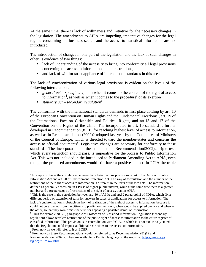At the same time, there is lack of willingness and initiative for the necessary changes in the legislation. The amendments to APIA are impeding, imperative changes for the legal regime concerning the business secret, and the access to statistical information are not introduced

The introduction of changes in one part of the legislation and the lack of such changes in other, is evidence of two things:

- lack of understanding of the necessity to bring into conformity all legal provisions concerning the access to information and its restrictions,
- and lack of will for strict appliance of international standards in this area.

The lack of synchronization of various legal provisions is evident on the levels of the following interrelations:

- *general act specific act*, both when it comes to the content of the right of access to information<sup>4</sup>, as well as when it comes to the procedure<sup>5</sup> of its exertion
- *statutory act secondary regulation*<sup>6</sup>

The conformity with the international standards demands in first place abiding by art. 10 of the European Convention on Human Rights and the Fundamental Freedoms<sup>7</sup>, art. 19 of the International Pact on Citizenship and Political Rights, and art.13 and 17 of the Convention on the Rights of the Child. The incorporated in art. 10 standard is further developed in Recommendation (81)19 for reaching highest level of access to information, as well as in Recommendation (2002)2 adopted last year by the Committee of Ministers of the Council of Europe, which is directed toward the member-states and concerns the access to official documents<sup>8</sup>. Legislative changes are necessary for conformity to these standards. The incorporation of the stipulated in Recommendation(2002)2 triple test, which every restriction should pass, is imperative for the Access to Public Information Act. This was not included in the introduced to Parliament Amending Act to APIA, even though the proposed amendments would still have a positive impact. In PCIA the triple

<sup>&</sup>lt;sup>4</sup> Example of this is the correlation between the substantial law provisions of art. 37 of Access to Public Information Act and art. 20 of Environment Protection Act. The way of formulation and the number of the restrictions of the right of access to information is different in the texts of the two acts. The information, defined as generally accessible in EPA is of higher public interest, while at the same time there is a greater number and a greater scope of restrictions of the right of access, than in APIA.

<sup>&</sup>lt;sup>5</sup> This is the case in the correlation between art. 30 of APIA and art.32 paragraph 2 of PDPA, which fix a different period of extension of term for answers in cases of applications for access to information. The lack of synchronization is obstacle in front of realization of the right of access to information, because it could not be expected from the citizens to predict on their own, when would be applied one act and when – the other, so that they won't miss the term for appealing a possible denial of information.

<sup>6</sup> Thus for example art. 25, paragraph 2 of Protection of Classified Information Regulation (secondary regulation) allows termless restrictions of the public right of access to information to the entire register of classified information. This provision is in contradiction with PCIA, in which it is not exclusively stated that the Regulation could impose additional restrictions to the access to information.

<sup>&</sup>lt;sup>7</sup> From now on we will refer to it as ECHR

<sup>&</sup>lt;sup>8</sup> From now on these Recommendations would be referred to as Recommendation (81)19 and Recommendation (2002)2. They are available in English language on the web site: [http://www.aip](http://www.aip-)bg.org/eurolaw.htm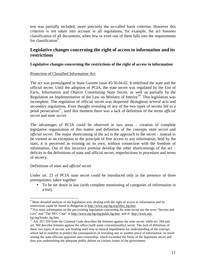test was partially included, more precisely the so-called harm criterion. However this criterion is not taken into account in all regulations, for example, the act foresees classification of all documents, when few or even one of them falls into the requirements for classification<sup>9</sup>.

# **Legislative changes concerning the right of access to information and its restrictions**

### **Legislative changes concerning the restrictions of the right of access to information**

### Protection of Classified Information Act

The act was promulgated in State Gazette issue 45/30.04.02. It redefined the state and the official secret. Until the adoption of PCIA, the state secret was regulated by the List of Facts, Information and Objects Constituting State Secret, as well as partially by the Regulation on Implementation of the Law on Ministry of Interior<sup>10</sup>. This legislation was incomplete. The regulation of official secret was dispersed throughout several acts and secondary regulations. Even thought revealing of any of the two types of secrets led to a penal persecution<sup>11</sup>, until this moment there was a lack of definition of the terms *official secret* and *state secret*.

The advantages of PCIA could be observed in two areas – creation of complete legislative organization of this matter and definition of the concepts *state secret* and *official secret*. The major shortcoming of the act is the approach to the secret – instead to be viewed as an exception to the principle of free access to any information, held by the state, it is perceived as existing on its own, without connection with the freedom of information. Out of this incorrect premise develop the other shortcomings of the act – deficits in the definitions of state and official secret, imperfections in procedure and terms of secrecy.

### Definitions of *state* and *official* secret

1

Under art. 25 of PCIA state secret could be introduced only in the presence of three prerequisites, taken together:

• To be set down in law (with complete mentioning of categories of information in a list);

 $9$  More detailed analysis of the legislative acts, dealing with the right of access to information and its restrictions could be found in Bulgarian at [http://www.aip-bg.org/libra\\_bg.htm](http://www.aip-bg.org/libra_bg.htm)

<sup>&</sup>lt;sup>10</sup> For more information on the pre-existing legislation concerning the state secret see the texts "Secrets and Lies" and "The NEC Case" at [http://www.aip-bg.org/publi\\_bg.htm](http://www.aip-bg.org/publi_bg.htm) and at [http://www.aip](http://www.aip-)bg.org/books\_bg.htm

Art. 357-359 from the Criminal Code describes the felonies against the state secret, while art. 284 and art. 360 describe felonies against the office (with some conventionality) secret. The lack of definition of these two types of secrets was leading until now to natural impediment for understanding of the concept, which led to inability to predict the consequences of revealing one or another piece of information. In result among the state officials appeared auto-censorship, which exceeded the limits of the legitimate secret and thus was undermining the adequate public debate on various issues of the government.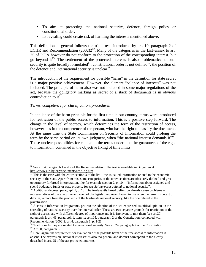- To aim at protecting the national security, defence, foreign policy or constitutional order;
- Its revealing could create risk of harming the interests mentioned above.

This definition in general follows the triple test, introduced by art. 10, paragraph 2 of ECHR and Recommendation  $(2002)2^{12}$ . Many of the categories in the List–annex to art. 25 of PCIA however do not conform to the protection of the corresponding interest, but go beyond  $it^{13}$ . The settlement of the protected interests is also problematic: national security is quite broadly formulated<sup>14</sup>, constitutional order is not defined<sup>15</sup>, the position of the defence and international security is unclear<sup>16</sup>.

The introduction of the requirement for possible "harm" in the definition for state secret is a major positive achievement. However, the element "balance of interests" was not included. The principle of harm also was not included in some major regulations of the act, because the obligatory marking as secret of a stack of documents is in obvious contradiction to it<sup>17</sup>.

### *Terms, competence for classification, procedures*

In appliance of the harm principle for the first time in our country, terms were introduced for restriction of the public access to information. This is a positive step forward. The change in the level of secrecy, which determines the term of the restriction of access, however lies in the competence of the person, who has the right to classify the document. At the same time the State Commission on Security of Information could prolong the term by the same period on its own judgment, when "the national interest demands  $it$ "<sup>18</sup>. These unclear possibilities for change in the terms undermine the guarantees of the right to information, contained in the objective fixing of time limits.

 $\overline{a}$ <sup>12</sup> See art. 4, paragraph 1 and 2 of the Recommendation. The text is available in Bulgarian at: [http://www.aip-bg.org/documents/rec2\\_bg.htm](http://www.aip-bg.org/documents/rec2_bg.htm) 

This is the case with the entire section  $3$  of the list – the so-called information related to the economic security of the state. Apart from this, some categories of the other sections are obscurely defined and give opportunity for broad interpretation, like for example section 2, p. 10 – "information about assigned and spend budgetary funds or state property for *special purposes related* to national security".

Additional decrees, paragraph 1, p. 13. The irrelevantly broad definition already cause problems  $$ representatives of the executive and even of the legislative power, began to use often the term in context of debates, remote from the problems of the legitimate national security, like the one related to the privatization.

<sup>&</sup>lt;sup>15</sup> Access to Information Programme, prior to the adoption of the act, expressed its critical opinion on the spreading of national security over the internal order. These are two separate grounds for restriction of the right of access, are with different degree of importance and it is irrelevant to mix them (see art.37, paragraph 2; art. 41, paragraph 1, item. 1; art.105, paragraph 2 of the Constitution; compared with Recommendation (2002)2, art.4, paragraph 1, p. 1-2)

<sup>&</sup>lt;sup>16</sup> Traditionally they are related to the national security. See art.24, paragraph 2 of the Constitution <sup>17</sup> Art.30, paragraph 3

<sup>&</sup>lt;sup>18</sup> Here, again, the requirement for evaluation of the possible harm of the free access to information is absent. The expression "national interests" is also too general and doesn't correspond to the clearly described in art. 25 of the act protected interests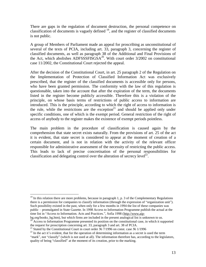There are gaps in the regulation of document destruction, the personal competence on classification of documents is vaguely defined  $19$ , and the register of classified documents is not public.

A group of Members of Parliament made an appeal for proscribing as unconstitutional of several of the texts of PCIA, including art. 33, paragraph 3, concerning the register of classified documents, as well as paragraph 38 of the Additional and Final Provisions of the Act, which abolishes ADFSSSFISGS $A^{20}$ . With court order 3/2002 on constitutional case 11/2002, the Constitutional Court rejected the appeal.

After the decision of the Constitutional Court, in art. 25 paragraph 2 of the Regulation on the Implementation of Protection of Classified Information Act was exclusively prescribed, that the register of the classified documents is accessible only for persons, who have been granted permission. The conformity with the law of this regulation is questionable, taken into the account that after the expiration of the term, the documents listed in the register become publicly accessible. Therefore this is a violation of the principle, on whose basis terms of restrictions of public access to information are introduced. This is the principle, according to which the right of access to information is the rule, while the restrictions are the exception<sup>21</sup> and should be applied only under specific conditions, one of which is the exempt period. General restriction of the right of access of anybody to the register makes the existence of exempt periods pointless.

The main problem in the procedure of classification is caused again by the comprehension that state secret exists naturally. From the provisions of art. 25 of the act it is evident, that state secret is considered to appear at the moment of creation of a certain document, and is not in relation with the activity of the relevant officer responsible for administrative assessment of the necessity of restricting the public access. This leads to lack of precise concretisation of the personal responsibilities for classification and delegating control over the alteration of secrecy level<sup>22</sup>.

bg.org/books\_bg.htm), but which firms are included in the present analogical list is unknown to us. <sup>20</sup> Access to Information Programme presented its position on the constitutional case, in which it supported the request for proscription concerning art. 33, paragraph 3 and art. 38 of PCIA.

 $19$  In this relation there are more problems, because in paragraph 1, p. 3 of the Complementary Regulations there is a permission for companies to classify information (through the expression of "organization unit"). Such possibility existed in the past, when only for a few months in 1994 the list of these companies was public – promulgated in State Gazette. In 1998 Access to Information Programme publish the actual at the time list in "Access to Information. Acts and Practices.", Sofia 1998 (<http://www.aip->

<sup>&</sup>lt;sup>21</sup> Stated by the Constitutional Court in court order № 7/1996 on const. case № 1/1996

 $22$  In the act it's evident, that for the operation of determining information as a secret is used the term "mark", not "classify" (which is not used at all). The information therefore has, according to the legislators, quality of being "classified" at the moment of its creation, prior to the marking.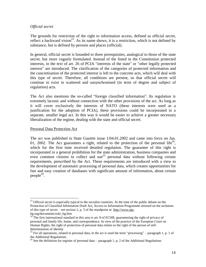### *Official secret*

The grounds for restriction of the right to information access, defined as official secret, reflect a backward vision<sup>23</sup>. As its name shows, it is a restriction, which is not defined by substance, but is defined by persons and places (official).

In general, official secret is bounded to three prerequisites, analogical to those of the state secret, but more vaguely formulated. Instead of the listed in the Constitution protected interests, in the text of art. 26 of PCIA "interests of the state" or "other legally protected interest" are introduced. The clarification of the categories of protected information and the concretisation of the protected interest is left to the concrete acts, which will deal with this type of secret. Therefore, all conditions are present, so that official secret will continue to exist in scattered and unsynchronised (in term of degree and subject of regulation) acts.

The Act also mentions the so-called "foreign classified information". Its regulation is extremely laconic and without connection with the other provisions of the act. As long as it will cover exclusively the interests of NATO (these interests were used as a justification for the adoption of PCIA), these provisions could be incorporated in a separate, smaller legal act. In this way it would be easier to achieve a greater necessary liberalization of the regime, dealing with the state and official secret.

### Personal Data Protection Act

 $\overline{a}$ 

The act was published in State Gazette issue 1/04.01.2002 and came into force on Jan. 01, 2002. The Act guarantees a right, related to the protection of the personal life<sup>24</sup>, which for the first time received detailed regulation. The guarantee of this right is incorporated in a general prohibition for the state administration, business companies and even common citizens to collect and use<sup>25</sup> personal data without following certain requirements, prescribed by the Act. These requirements are introduced with a view to the development of automatic processing of personal data, which creates opportunities for fast and easy creation of databases with significant amount of information, about certain  $people^{26}$ .

<sup>&</sup>lt;sup>23</sup> Official secret is especially typical to the socialist countries. At the time of the public debate on the Protection of Classified Information Draft Act, Access to Information Programme stressed on the archaism of this type of secret – see section 2, p. 3 of the standpoint at: [http://www.aip](http://www.aip-)bg.org/documents/zzki\_bg.htm

 $24$  The first international standard in this area is art. 8 of ECHR, guaranteeing the right of privacy of personal and family life, home, and correspondence. In view of the practice of the European Court on Human Rights, the right of protection of personal data relates to the right of the person of selfdetermination of identity

 $25$  For all operations, related to personal data, in the act is used the term "processing" – paragraph 1, p. 1 of the Additional Regulations

<sup>&</sup>lt;sup>26</sup> See the definition for register of personal data – paragraph 1, p. 2 of the Additional Regulations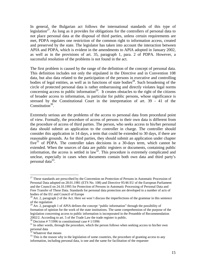In general, the Bulgarian act follows the international standards of this type of legislation<sup>27</sup>. As long as it provides for obligations for the controllers of personal data to not place personal data at the disposal of third parties, unless certain requirements are met, PDPA regulates one restriction of the common right to information access, created and preserved by the state. The legislator has taken into account the interaction between APIA and PDPA, which is evident in the amendments to APIA adopted in January 2002, as well as in the provisions of art. 35, paragraph 1, para. 2 of PDPA. However, a successful resolution of the problems is not found in the act.

The first problem is caused by the range of the definition of the concept of personal data. This definition includes not only the stipulated in the Directive and in Convention 108 data, but also data related to the participation of the persons in executive and controlling bodies of legal entities, as well as in functions of state bodies<sup>28</sup>. Such broadening of the circle of protected personal data is rather embarrassing and directly violates legal norms concerning access to public information<sup>29</sup>. It creates obstacles to the right of the citizens of broader access to information, in particular for public persons, whose significance is stressed by the Constitutional Court in the interpretation of art. 39 - 41 of the Constitution<sup>30</sup>.

Extremely serious are the problems of the access to personal data from procedural point of view. Formally, the procedure of access of persons to their own data is different from the procedure of access of third parties. The person, who seeks access to his/her personal data should submit an application to the controller in charge. The controller should consider this application in 14 days, a term that could be extended to 30 days, if there are reasonable grounds. As for third parties, they should submit an application under chapter five $31$  of PDPA. The controller takes decisions in a 30-days term, which cannot be extended. When the sources of data are public registers or documents, containing public information, the access is settled in  $law^{32}$ . This procedure is extremely complicated and unclear, especially in cases when documents contain both own data and third party's personal data $33$ .

 $30$  Decision # 7/1996 in constitutional case # 1/1996

 $27$  These standards are prescribed by the Convention on Protection of Persons in Automatic Procession of Personal Data adopted on 28.01.1981 (ETS No. 108) and Directive 95/46 EU of the European Parliament and the Council on 24.10.1995 for Protection of Persons in Automatic Processing of Personal Data and Free Transfer of These Data. Standards for personal data protection are developed in a number of acts of bodies of the EU and Council of Europe

 $^{28}$  Art. 2, paragraph 2 of the Act. Here we won't discuss the imperfections of the grammar in this sentence of the regulation

<sup>&</sup>lt;sup>29</sup> Art. 2, paragraph 1 of APIA defines the concept "public information" through the possibility of formation of opinion for the work of the state institutions. The same comprehension of the purpose of the legislation concerning access to public information is incorporated in the Preamble of Recommendation 2002/2. According to art. 5 of the Trade Law the trade register is public.

 $31$  In other words, through the procedure, which the person follows when seeking access to his/her own personal data

<sup>&</sup>lt;sup>32</sup> Whatever that means

 $33$  This is the reason why in the legislation of some countries, the procedure of granting access to any information, including personal data, is one and the same for facilitation of the requester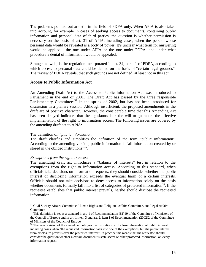The problems pointed out are still in the field of PDPA only. When APIA is also taken into account, for example in cases of seeking access to documents, containing public information and personal data of third parties, the question is whether permission is necessary on the basis of art. 31 of APIA, including cases, when the person whose personal data would be revealed is a body of power. It's unclear what term for answering would be applied - the one under APIA or the one under PDPA, and under what procedure a denial of information would be appealed.

Strange, as well, is the regulation incorporated in art. 34, para. 1 of PDPA, according to which access to personal data could be denied on the basis of "certain legal grounds". The review of PDPA reveals, that such grounds are not defined, at least not in this act.

### **Access to Public Information Act**

An Amending Draft Act to the Access to Public Information Act was introduced to Parliament in the end of 2001. The Draft Act has passed by the three responsible Parliamentary Committees<sup>34</sup> in the spring of 2002, but has not been introduced for discussion in a plenary session. Although insufficient, the proposed amendments in the draft are of positive character. However, the considerable time that this Amending Act has been delayed indicates that the legislators lack the will to guarantee the effective implementation of the right to information access. The following issues are covered by the amending draft act to APIA:

### The definition of "*public information*"

The draft clarifies and simplifies the definition of the term "public information". According to the amending version, public information is "all information created by or stored in the obliged institutions<sup>35</sup>.

#### *Exemptions from the right to access*

 $\overline{a}$ 

The amending draft act introduces a "balance of interests" test in relation to the exemptions from the right to information access. According to this standard, when officials take decisions on information requests, they should consider whether the public interest of disclosing information exceeds the eventual harm of a certain interests. Officials should not take decisions to deny access to information solely on the basis whether documents formally fall into a list of categories of protected information<sup>36</sup>. If the requestee establishes that public interest prevails, he/she should disclose the requested information.

<sup>&</sup>lt;sup>34</sup> Civil Society Affairs Committee, Human Rights and Religious Affairs Committee, and Legal Affairs Committee

 $35$  This definition is set as a standard in art. 1 of Recommendation (81)19 of the Committee of Ministers of the Council of Europe and in art. 1, item 3 and art. 2, item 1 of Recommendation (2002)2 of the Committee of Ministers of the Council of Europe

<sup>&</sup>lt;sup>36</sup> The new revision of the amendment obliges the institutions to disclose information of public interest, including cases when "the requested information falls into one of the exemptions, but the public interest from disclosure prevails over the protected interest". In practice this means that the requestee should consider the question whether a certain document is state secret or other protected information, on every information request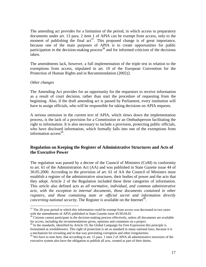The amending act provides for a limitation of the period, in which access to preparatory documents under art. 13 para. 2 item 1 of APIA can be exempt from access, only to the moment of publishing the final  $act^{37}$ . This proposed change is of great importance, because one of the main purposes of APIA is to create opportunities for public participation in the decision-making process<sup>38</sup> and for informed criticism of the decisions taken.

The amendments lack, however, a full implementation of the triple test in relation to the exemptions from access, stipulated in art. 10 of the European Convention for the Protection of Human Rights and in Recommendation (2002)2.

#### *Other changes*

 $\overline{a}$ 

The Amending Act provides for an opportunity for the requestors to receive information as a result of court decision, rather than start the procedure of requesting from the beginning. Also, if the draft amending act is passed by Parliament, every institution will have to assign officials, who will be responsible for taking decisions on APIA requests.

A serious omission in the current text of APIA, which slows down the implementation process, is the lack of a provision for a Commission or an Ombudsperson facilitating the right to information. It is also necessary to include a provision, protecting public officials, who have disclosed information, which formally falls into one of the exemptions from information access<sup>39</sup>.

### **Regulation on Keeping the Register of Administrative Structures and Acts of the Executive Power**

The regulation was passed by a decree of the Council of Ministers (CoM) in conformity to art. 61 of the Administration Act (AA) and was published in State Gazette issue 44 of 30.05.2000. According to the provision of art. 61 of AA the Council of Ministers must establish a register of the administrative structures, their bodies of power and the acts that they adopt. Article 2 of the Regulation included these three categories of information. This article also defined acts as *all normative, individual, and common administrative acts, with the exception to internal documents, those documents contained in other registers, and those containing state or official secret and information directly concerning national security.* The Register is available on the Internet<sup>40</sup>.

 $37$  The 20-year period in which this information could be exempt from access was decreased to two years with the amendments of APIA published in State Gazette issue 45/30.04.02

 $38$  Citizens cannot participate in the decision-making process effectively, unless all documents are available for access, including the recommendations given, opinions and comments on a project.

<sup>&</sup>lt;sup>39</sup> In the standards, identified by Article 19, the Global Campaign for Free Expression this principle is formulated as wistleblowers. This right of protection is set as standard in many national laws, because it is a mechanism for revealing and in that way preventing corruption and other irregularities.

<sup>&</sup>lt;sup>40</sup> We have to note here, that according to art. 15 para. 1 item 2 of APIA all administrative structures of the executive system also have the obligation to publish all acts, created as part of their duties.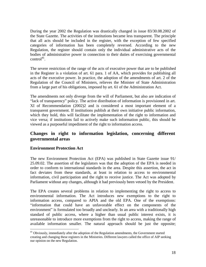During the year 2002 the Regulation was drastically changed in issue 83/30.08.2002 of the State Gazette. The activities of the institutions became less transparent. The principle that all acts should be included in the register, with the exception of few specified categories of information has been completely reversed. According to the new Regulation, the register should contain only the individual administrative acts of the bodies of administrative power in connection to their duties of exercising governmental  $control^{41}$ .

The severe restriction of the range of the acts of executive power that are to be published in the Register is a violation of art. 61 para. 1 of AA, which provides for publishing all acts of the executive power. In practice, the adoption of the amendments of art. 2 of the Regulation of the Council of Ministers, relieves the Minister of State Administration from a large part of his obligations, imposed by art. 61 of the Administration Act.

The amendments not only diverge from the will of Parliament, but also are indication of "lack of transparency" policy. The active distribution of information is provisioned in art. ХІ of Recommendation (2002)2 and is considered a most important element of a transparent government. If institutions publish at their own initiative public information, which they hold, this will facilitate the implementation of the right to information and vice versa; if institutions fail to actively make such information public, this should be viewed as a purposeful impediment of the right to information access.

# **Changes in right to information legislation, concerning different governmental areas**

### **Environment Protection Act**

The new Environment Protection Act (EPA) was published in State Gazette issue 91/ 25.09.02. The assertion of the legislators was that the adoption of the EPA is needed in order to conform to international standards in the area. Despite this assertion, the act in fact deviates from these standards, at least in relation to access to environmental information, civil participation and the right to receive justice. The Act was adopted by Parliament without any changes, although it had previously been vetoed by the President.

The EPA creates several problems in relation to implementing the right to access to environmental information. The Act introduces new exemptions to the right to information access, compared to APIA and the old EPA. One of the exemptions: "information that could have an unfavorable effect on the components of the environment" is formulated too broadly and unclearly. In an area with a traditionally high standard of public access, where a higher than usual public interest exists, it is unreasonable to introduce more exemptions from the right to access, making the range of available information smaller. The natural approach should be just the opposite;

 $\overline{a}$ <sup>41</sup> Obviously, immediately after the adoption of the Regulation amendments, the Government started creating and changing these registers in the Ministries. Different lawyers called the office of AIP seeking our opinion on the new Regulation.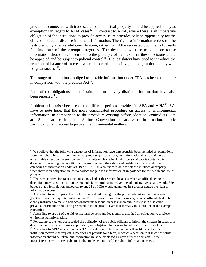provisions connected with trade secret or intellectual property should be applied solely as exemptions in regard to APIA cases<sup> $42$ </sup>. In contrast to APIA, where there is an imperative obligation of the institutions to provide access, EPA provides only an opportunity for the obliged bodies to disclose important information. The right to information access can be restricted only after careful consideration, rather than if the requested documents formally fall into one of the exempt categories. The decisions whether to grant or refuse information should have been tied to the principle of harm, so that these decisions could be appealed and be subject to judicial control<sup>43</sup>. The legislators have tried to introduce the principle of balance-of-interest, which is something positive, although unfortunately with no great success<sup>44</sup>.

The range of institutions, obliged to provide information under EPA has become smaller in comparison with the previous  $Act^{45}$ .

Parts of the obligations of the institutions to actively distribute information have also been repealed.<sup>46</sup>.

Problems also arise because of the different periods provided in APA and  $APIA<sup>47</sup>$ . We have to note here, that the more complicated procedure on access to environmental information, in comparison to the procedure existing before adoption, contradicts with art. 5 and art. 6 from the Aarhus Convention on access to information, public participation and access to justice in environmental matters.

<sup>&</sup>lt;u>.</u>  $42$  We believe that the following categories of information have unreasonably been included as exemptions from the right to information: intellectual property, personal data, and information that "could have an unfavorable effect on the environment". It is quite unclear what kind of personal data is contained in documents, revealing the condition of the environment, the safety and health of citizens, and other categories of information under art. 19 of EPA. It is also unacceptable to refer to intellectual property, when there is an obligation in law to collect and publish information of importance for the health and life of citizens.

<sup>&</sup>lt;sup>43</sup> The current provision raises the question, whether there might be a case when an official acting in discretion, may cause a situation, where judicial control cannot cover the administrative act as a whole. We believe that a formulation analogical to art. 25 of PCIA would guarantee in a greater degree the right to information access.

<sup>44</sup> According to art. 20 para. 4 of EPA officials should recognize the public interest in their decisions to grant or refuse the requested information. The provision is not clear, however, because officials had to be clearly instructed to make a balance-of-interests test and, in cases when public interest in disclosure prevails, information should be presented to the requestor, even if it formally falls into one of the exempt categories.

<sup>&</sup>lt;sup>45</sup> According to art. 12 of the old Act natural persons and legal entities also had an obligation to disclose environmental information.

<sup>&</sup>lt;sup>46</sup> For example, the new act repealed the obligation of the public officials to inform the citizens in cases of a direct danger from environmental pollution, an obligation that was included in art. 13a of the old act.

 $47$  According to APIA a decision on APIA requests should be taken no later than 14 days after the institution receives the request. EPA does not provide for a term, in which a decision to disclose or refuse information should be taken, but information must be disclosed 14 days after the decision. These inconsistencies will cause problems in the implementation of the right to information access.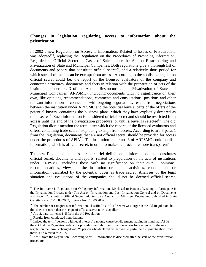### **Changes in legislation regulating access to information about the privatization.**

In 2002 a new Regulation on Access to Information, Related to Issues of Privatization, was adopted<sup>48</sup>, replacing the Regulation on the Procedures of Providing Information, Regarded as Official Secret in Cases of Sales under the Act on Restructuring and Privatization of State and Municipal Companies. Both regulations give a thorough list of documents and papers that constitute official secret<sup>49</sup>, and a relatively short period for which such documents can be exempt from access. According to the abolished regulation official secret could be: the report of the licensed evaluators of the company and connected structures, documents and facts in relation with the preparation of acts of the institutions under art. 3 of the Act on Restructuring and Privatization of State and Municipal Companies (ARPSMC), including documents with no significance on their own, like opinions, recommendations, comments and consultations, positions and other relevant information in connection with ongoing negotiations; results from negotiations between the institution under ARPSMC and the potential buyers, parts of the offers of the potential buyers, containing the business plans, which they have explicitly declared as trade secret<sup>50</sup>. Such information is considered official secret and should be restricted from access until the end of the privatization procedure, or until a buyer is selected $5<sup>1</sup>$ . The old Regulation didn't mention the term, after which the reports of the licensed evaluators and offers, containing trade secret, stop being exempt from access. According to art. 3 para. 1 from the Regulation, documents that are not official secret, should be provided for access under the procedures of  $APIA<sup>52</sup>$ . The institution under art. 3 of  $ARPSMC$  could publish information, which is official secret, in order to make the procedure more transparent<sup>53</sup>.

The new Regulation includes a rather brief definition of information, that constitutes official secret: documents and reports, related to preparation of the acts of institutions under ARPSMC, including those with no significance on their own – opinions, recommendations, views of the institution or on its activities, consultations or information, described by the potential buyer as trade secret. Analyses of the legal situation and evaluations of the companies should not be deemed official secret,

<sup>&</sup>lt;sup>48</sup> The full name is Regulation for Obligatory Information, Disclosed to Persons, Wishing to Participate in the Privatization Process under The Act on Privatization and Post-Privatization Control and on Documents and Facts, Constituting Official Secret, adopted by a Council of Ministers Decree and published in State Gazette issue 87/13.09.2002, in force from 13.09.2002.

<sup>&</sup>lt;sup>49</sup> The number of categories of information, classified as official secret was larger in the old Regulation, but this does not mean that the scope of official secret now is smaller.

 $50$  Art. 2, para. 1, items 1- 5 from the old Regulation

 $51$  Results from conducted negotiations.

 $52$  Indeed the term "persons with legal interest" can only cause bewilderment, having in mind that APIA – the act that the Regulation refers to - provides the right to information access for everyone. In the new regulation the term is changed with "a person who declared his/her will to participate in privatization" and there is no referral to APIA.

 $53$  Art. 6 from the Regulation. According to art. 1 information is disclosed after the start of the privatization procedure.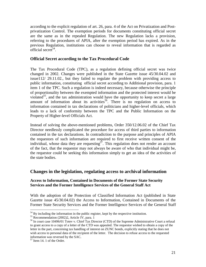according to the explicit regulation of art. 26, para. 4 of the Act on Privatization and Postprivatization Control. The exemption periods for documents constituting official secret are the same as in the repealed Regulation. The new Regulation lacks a provision, referring to the procedures of APIA, after the exemption period has expired. As in the previous Regulation, institutions can choose to reveal information that is regarded as official secret<sup>54</sup>.

### **Official Secret according to the Tax Procedural Code**

The Tax Procedural Code (TPC), as a regulation defining official secret was twice changed in 2002. Changes were published in the State Gazette issue 45/30.04.02 and issue112/ 29.11.02., but they failed to regulate the problem with providing access to public information, constituting official secret according to Additional provision, para. 1 item 1 of the TPC. Such a regulation is indeed necessary, because otherwise the principle of proportionality between the exempted information and the protected interest would be violated<sup>55</sup>, and the tax administration would have the opportunity to keep secret a large amount of information about its activities<sup>56</sup>. There is no regulation on access to information contained in tax declarations of politicians and higher-level officials, which leads to a lack of conformity between the TPC and the Public Information on the Property of Higher-level Officials Act.

Instead of solving the above-mentioned problems, Order 350/12.06.02 of the Chief Tax Director needlessly complicated the procedure for access of third parties to information contained in the tax declarations. In contradiction to the purpose and principles of APIA the requestors of such information are required to first receive written consent of the individual, whose data they are requesting<sup>57</sup>. This regulation does not render an account of the fact, that the requestor may not always be aware of who that individual might be, the requestor could be seeking this information simply to get an idea of the activities of the state bodies.

# **Changes in the legislation, regulating access to archival information**

### **Access to Information, Contained in Documents of the Former State Security Services and the Former Intelligence Services of the General Staff Act**

With the adoption of the Protection of Classified Information Act (published in State Gazette issue 45/30.04.02) the Access to Information, Contained in Documents of the Former State Security Services and the Former Intelligence Services of the General Staff

 $54$  By including the information in the public register, kept by the respective institution.

<sup>&</sup>lt;sup>55</sup> Recommendation (2002)2, Article IV, para. 1

<sup>56</sup> In court case 10496/01 Totev v. Chief Tax Director (CTD) of the Supreme Administrative Court a refusal to grant access to a copy of a letter of the CTD was appealed. The requestor wished to obtain a copy of the letter in the part, concerning tax handling of interest on ZUNC bonds, explicitly stating that he does not wish access to personal data of the recipient of the letter. The decision to refuse access to the requested information was reversed by the SAC.

<sup>57</sup> Item 14. 1 of the Order.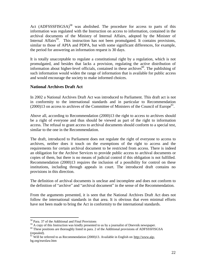Act (ADFSSSFISGSA)<sup>58</sup> was abolished. The procedure for access to parts of this information was regulated with the Instruction on access to information, contained in the archival documents of the Ministry of Internal Affairs, adopted by the Minister of Internal Affairs<sup>59</sup>. This instruction has not been promulgated. It contains provisions, similar to those of APIA and PDPA, but with some significant differences, for example, the period for answering an information request is 30 days.

It is totally unacceptable to regulate a constitutional right by a regulation, which is not promulgated, and besides that lacks a provision, regulating the active distribution of information about higher-level officials, contained in these archives $^{60}$ . The publishing of such information would widen the range of information that is available for public access and would encourage the society to make informed choices.

# **National Archives Draft Act**

In 2002 a National Archives Draft Act was introduced to Parliament. This draft act is not in conformity to the international standards and in particular to Recommendation  $(2000)13$  on access to archives of the Committee of Ministers of the Council of Europe<sup>61</sup>.

Above all, according to Recommendation (2000)13 the right to access to archives should be a right of everyone and thus should be viewed as part of the right to information access. The refusal to grant access to archival documents should conform to a special test, similar to the one in the Recommendation.

The draft, introduced to Parliament does not regulate the right of everyone to access to archives, neither does it touch on the exemptions of the right to access and the requirements for certain archival document to be restricted from access. There is indeed an obligation for the Archive Services to provide public access to archival documents or copies of them, but there is no means of judicial control if this obligation is not fulfilled. Recommendation (2000)13 requires the inclusion of a possibility for control on these institutions, including through appeals in court. The introduced draft contains no provisions in this direction.

The definition of archival documents is unclear and incomplete and does not conform to the definition of "archive" and "archival document" in the sense of the Recommendation.

From the arguments presented, it is seen that the National Archives Draft Act does not follow the international standards in that area. It is obvious that even minimal efforts have not been made to bring the Act in conformity to the international standards.

<u>.</u>

<sup>58</sup> Para. 37 of the Additional and Final Provisions

 $59$  A copy of this Instruction was kindly presented to us by a journalist of Dnevnik newspaper.

<sup>&</sup>lt;sup>60</sup> These positions are thoroughly listed in para. 2 of the Additional provisions of ADFSSSFISGSA (repealed).

 $\frac{61}{10}$  Will be referred to as Recommendation (2000)13. Available in English on [http://www.aip](http://www.aip-)bg.org/eurolaw.htm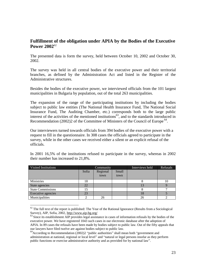# **Fulfillment of the obligation under APIA by the Bodies of the Executive Power 2002**<sup>62</sup>

The presented data is form the survey, held between October 10, 2002 and October 30, 2002.

The survey was held in all central bodies of the executive power and their territorial branches, as defined by the Administration Act and listed in the Register of the Administrative structures.

Besides the bodies of the executive power, we interviewed officials from the 101 largest municipalities in Bulgaria by population, out of the total 263 municipalities.

The expansion of the range of the participating institutions by including the bodies subject to public law entities (The National Health Insurance Fund, The National Social Insurance Fund, The Auditing Chamber, etc.) corresponds both to the large public interest of the activities of the mentioned institutions $^{63}$ , and to the standards introduced in Recommendation (2002)2 of the Committee of Ministers of the Council of Europe<sup>64</sup>.

Our interviewers turned towards officials from 394 bodies of the executive power with a request to fill in the questionnaire. In 308 cases the officials agreed to participate in the survey, while in the other cases we received either a silent or an explicit refusal of the officials.

| <b>Visited Institutions</b> |                            | Community |      | Interviews held | Refusals |
|-----------------------------|----------------------------|-----------|------|-----------------|----------|
|                             | Regional<br>Small<br>Sofia |           |      |                 |          |
|                             |                            | town      | town |                 |          |
| Ministries                  | 18                         |           |      |                 | ΙU       |
| State agencies              |                            |           |      |                 |          |
| <b>State Commissions</b>    |                            |           |      |                 |          |
| Executive agencies          | 23                         |           |      | 18              |          |
| Municipalities              |                            | 26        |      | 26              |          |

In 2001 16,5% of the institutions refused to participate in the survey, whereas in 2002 their number has increased to 21,8%.

 $62$  The full text of the report is published: The Year of the Rational Ignorance (Results from a Sociological Survey), AIP, Sofia, 2002, <http://www.aip-bg.org/>

 $63$  Since its establishment AIP provides legal assistance in cases of information refusals by the bodies of the executive power. We have registered 1043 such cases in our electronic database after the adoption of APIA. In 89 cases the refusals have been made by bodies subject to public law. Out of the fifty appeals that our lawyers have filed twelve are against bodies subject to public law.

 $^{64}$ According to Recommendation (2002)2 "public authorities" shall mean both "government and administration at national, regional or local level" and "natural or legal persons insofar as they perform public functions or exercise administrative authority and as provided for by national law".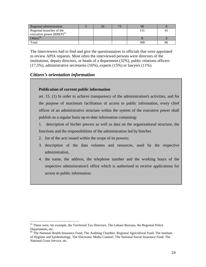| Regional administration       |  | 71 |     |    |
|-------------------------------|--|----|-----|----|
| Regional branches of the      |  |    |     |    |
| executive power $(RBEP)^{65}$ |  |    |     |    |
| Others <sup>66</sup>          |  |    |     |    |
| Total                         |  |    | 308 | 86 |

The interviewers had to find and give the questionnaires to officials that were appointed to review APIA requests. Most often the interviewed persons were directors of the institutions, deputy directors, or heads of a department (32%), public relations officers (17,5%), administrative secretaries (16%), experts (15%) or lawyers (11%).

# *Citizen's orientation information*

### **Publication of current public information**

art. 15. (1) In order to achieve transparency of the administration's activities, and for the purpose of maximum facilitation of access to public information, every chief officer of an administrative structure within the system of the executive power shall publish on a regular basis up-to-date information containing:

1. description of his/her powers as well as data on the organizational structure, the functions and the responsibilities of the administration led by him/her.

- 2. list of the acts issued within the scope of its powers;
- 3. description of the data volumes and resources, used by the respective administration,
- 4. the name, the address, the telephone number and the working hours of the respective administration's office which is authorized to receive applications for access to public information.

<sup>1</sup>  $65$  These were, for example, the Territorial Tax Directors, The Labour Bureaus, the Regional Police Departments, etc.

<sup>&</sup>lt;sup>66</sup> The National Health Insurance Fund, The Auditing Chamber, Regional Agricultural Fund, The Institute of Hygiene and Epidemiology, The Electronic Media Counsel, The National Social Insurance Fund, The National Grain Service, etc.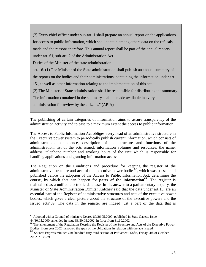(2) Every chief officer under sub-art. 1 shall prepare an annual report on the applications for access to public information, which shall contain among others data on the refusals made and the reasons therefore. This annual report shall be part of the annual reports under art. 61, sub-art. 2 of the Administration Act.

Duties of the Minister of the state administration

art. 16. (1) The Minister of the State administration shall publish an annual summary of

the reports on the bodies and their administrations, containing the information under art.

15., as well as other information relating to the implementation of this act.

(2) The Minister of State administration shall be responsible for distributing the summary.

The information contained in the summary shall be made available in every

administration for review by the citizens." (APIA)

The publishing of certain categories of information aims to assure transparency of the administration activity and to ease to a maximum extent the access to public information.

The Access to Public Information Act obliges every head of an administrative structure in the Executive power system to periodically publish current information, which consists of administrations competence, description of the structure and functions of the administration; list of the acts issued; information volumes and resources; the name, address, telephone number and working hours of the unit which is responsible for handling applications and granting information access.

The Regulation on the Conditions and procedure for keeping the register of the administrative structure and acts of the executive power bodies  $67$ , which was passed and published before the adoption of the Access to Public Information Act, determines the course, by which that can happen for **parts of the information<sup>68</sup>** . The register is maintained as a unified electronic database. In his answer to a parliamentary enquiry, the Minister of State Administration Dimitar Kalchev said that the data under art.15, are an essential part of the Register of administrative structures and acts of the executive power bodies, which gives a clear picture about the structure of the executive powers and the issued acts"69. The data in the register are indeed just a part of the data that is

1

 $<sup>67</sup>$  Adopted with a Council of ministers Decree 89/26.05.2000, published in State Gazette issue</sup> 44/30.05.2000, amended in issue 83/30.08.2002, in force from 31.10.2002

<sup>&</sup>lt;sup>68</sup> The amendment of the Regulation Keeping the Register of the Structure and Acts of the Executive Power Bodies, from year 2002 narrowed the span of the obligations in relation with the acts issued.

<sup>69</sup> Source: Express minutes One hundred fifty third session of Parliament, Sofia, Friday, 4th of October 2002, p. 36-39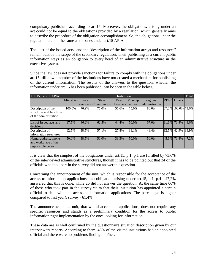compulsory published, according to art.15. Moreover, the obligations, arising under an act could not be equal to the obligations provided by a regulation, which generally aims to describe the procedure of the obligation accomplishment. So, the obligations under the regulation are not the same as the ones under art.15 APIA.

The "list of the issued acts" and the "description of the information arrays and resources" remain outside the scope of the secondary regulation. Their publishing as a current public information stays as an obligation to every head of an administrative structure in the executive system.

Since the law does not provide sanctions for failure to comply with the obligations under art.15, till now a number of the institutions have not created a mechanism for publishing of the current information. The results of the answers to the question, whether the information under art.15 has been published, can be seen in the table below.

| Art. 15, para. 1 APIA                                                   |                   | Total<br>Institution     |                             |                   |                    |                            |             |               |       |  |
|-------------------------------------------------------------------------|-------------------|--------------------------|-----------------------------|-------------------|--------------------|----------------------------|-------------|---------------|-------|--|
|                                                                         | <b>Ministries</b> | <b>State</b><br>agencies | <b>State</b><br>Commissions | Exec.<br>Agencies | Municip<br>alities | Regional<br>administration | <b>RBEP</b> | <b>Others</b> |       |  |
| Description of the<br>structures and functions<br>of the administration | 100.0%            | 76,9%                    | 75.0%                       | 55.6%             | 75.0%              | 80.0%                      | 67.0%       | 100,0% 73,6%  |       |  |
| List of issued acts and<br>decisions                                    | 87,5%             | 46,2%                    | 62,5%                       | 44,4%             | 50,0%              | 67,0%                      | 31,6%       | 71.4%         | 49,6% |  |
| Description of<br>information structures                                | 62.5%             | 38,5%                    | 57,1%                       | 27.8%             | 38,1%              | 48,4%                      | 32,5%       | 42.9%         | 39,9% |  |
| Name, address, phone<br>and workplace of the<br>responsible person      | 50.0%             | 38,5%                    | 50,0%                       | 33,3%             | 50.0%              | 50.0%                      | 45.6%       | 71,4%         | 47,2% |  |

It is clear that the simplest of the obligations under art.15, p.1, p.1 are fulfilled by 73,6% of the interviewed administrative structures, though it has to be pointed out that 24 of the officials who took part in the survey did not answer this question.

Concerning the announcement of the unit, which is responsible for the acceptance of the access to information applications - an obligation arising under art.15, p.1, p.4 - 47,2% answered that this is done, while 26 did not answer the question. At the same time 66% of those who took part in the survey claim that their institution has appointed a certain official to deal with the access to information applications. The percentage is higher compared to last year's survey - 61,4%.

The announcement of a unit, that would accept the applications, does not require any specific resources and stands as a preliminary condition for the access to public information right implementation by the ones looking for information.

These data are as well confirmed by the questionnaire situation description given by our interviewers reports. According to them, 46% of the visited institutions had an appointed official and there were no problems finding him/her.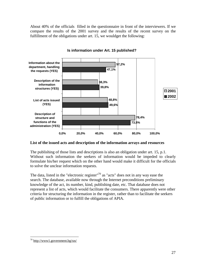About 40% of the officials filled in the questionnaire in front of the interviewers. If we compare the results of the 2001 survey and the results of the recent survey on the fulfillment of the obligations under art. 15, we wouldget the following:



**Is information under Art. 15 published?**

### **List of the issued acts and description of the information arrays and resources**

The publishing of those lists and descriptions is also an obligation under art. 15, p.1. Without such information the seekers of information would be impeded to clearly formulate his/her request which on the other hand would make it difficult for the officials to solve the unclear information requests.

The data, listed in the "electronic register"<sup>70</sup> as "acts" does not in any way ease the search. The database, available now through the Internet preconditions preliminary knowledge of the act, its number, kind, publishing date, etc. That database does not represent a list of acts, which would facilitate the consumers. There apparently were other criteria for structuring the information in the register, rather than to facilitate the seekers of public information or to fulfill the obligations of APIA.

 $^{70}$  <http://www1.government.bg/ras/>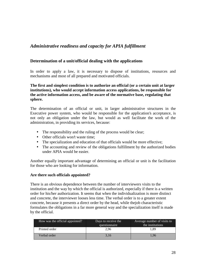# *Administrative readiness and capacity for APIA fulfillment*

### **Determination of a unit/official dealing with the applications**

In order to apply a law, it is necessary to dispose of institutions, resources and mechanisms and most of all prepared and motivated officials.

### **The first and simplest condition is to authorize an official (or a certain unit at larger institutions), who would accept information access applications, be responsible for the active information access, and be aware of the normative base, regulating that sphere.**

The determination of an official or unit, in larger administrative structures in the Executive power system, who would be responsible for the application's acceptance, is not only an obligation under the law, but would as well facilitate the work of the administration, in providing its services, because:

- The responsibility and the ruling of the process would be clear;
- Other officials won't waste time;
- The specialization and education of that officials would be more effective;
- The accounting and review of the obligations fulfillment by the authorized bodies under APIA would be easier.

Another equally important advantage of determining an official or unit is the facilitation for those who are looking for information.

### **Are there such officials appointed?**

There is an obvious dependence between the number of interviewers visits to the institution and the way by which the official is authorized, especially if there is a written order for his/her authorization. It seems that when the individualization is more distinct and concrete, the interviewer looses less time. The verbal order is to a greater extent concrete, because it presents a direct order by the head, while thejob characteristic formulates the obligations in a far more general way and the specialization itself is made by the official.

| How was the official appointed? | Days to receive the<br>questionnaire | Average number of visits to<br>the institutions |
|---------------------------------|--------------------------------------|-------------------------------------------------|
| Printed order                   | 2.96                                 | 1.89                                            |
| Verbal order                    | 3.16                                 | 1.96                                            |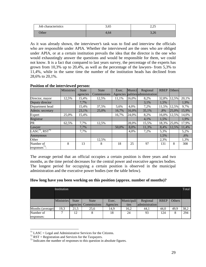| Job characteristics | 3,65 | $\cap$ $\cap$<br>ر بے ا          |
|---------------------|------|----------------------------------|
| <b>Other</b>        | 4.64 | 20 <sup>2</sup><br>$J, \angle U$ |

As it was already shown, the interviewer's task was to find and interview the officials who are responsible under APIA. Whether the interviewed are the ones who are obliged under APIA, or at a certain institution prevails the idea that the director is the one who would exhaustingly answer the questions and would be responsible for them, we could not know. It is a fact that compared to last years survey, the percentage of the experts has grown from 10,3% up to 20,4%, as well as the percentage of the lawyers- from 5,3% to 11,4%, while in the same time the number of the institution heads has declined from 28,6% to 20,1%.

|                                        | Ministries | <b>State</b> | <b>State</b> | Exec.    | Munici | Regional                | <b>RBEP</b> | <b>Others</b> |       |
|----------------------------------------|------------|--------------|--------------|----------|--------|-------------------------|-------------|---------------|-------|
|                                        |            | agencies     | Commissions  | Agencies |        | palities administration |             |               |       |
| Director, mayor                        | 12,5%      | 15,4%        | 12,5%        | 11,1%    | 16,0%  | 8,2%                    | 32,8%       | 12,5%         | 20,1% |
| Deputy director                        |            | 7,7%         |              |          |        | 3,1%                    | 1,5%        |               | 1,9%  |
| Department head                        |            | 15,4%        | 37,5%        | 5,6%     | 4,0%   | 7,2%                    | 11,5%       | 12,5%         | 9,7%  |
| Admin. secretary                       |            | 23,1%        | 25,0%        | 16,7%    | 16,0%  | 35,1%                   | ,8%         | 25,0%         | 15,9% |
| Expert                                 | 25,0%      | 15,4%        |              | 16,7%    | 24,0%  | 8,2%                    | 16,0%       | 12,5%         | 14,0% |
| Registrar                              |            |              |              |          |        | 4,1%                    | 1,5%        |               | 1,9%  |
| PR                                     | 62,5%      | 7,7%         | 12,5%        |          | 28,0%  | 15,5%                   | 18,3%       | 25,0%         | 17,9% |
| Lawyer                                 |            | 7,7%         |              | 50,0%    | 8,0%   | 11,3%                   | 8,4%        | 12,5%         | 11,4% |
| LASC <sup>71</sup> , RST <sup>72</sup> |            | 7,7%         |              |          | 4,0%   | 7,2%                    | 5,3%        |               | 5,2%  |
| <b>Anonymous</b>                       |            |              |              |          |        |                         | 1,5%        |               | ,6%   |
| Other                                  |            |              | 12,5%        |          |        |                         | 2,3%        |               | 1,3%  |
| Number of<br>responses <sup>73</sup> : | 8          | 13           | 8            | 18       | 25     | 97                      | 131         | 8             | 308   |

### **Position of the interviewed person:**

The average period that an official occupies a certain position is three years and two months, as the time period decreases for the central power and executive agencies bodies. The longest period for occupying a certain position is observed in the municipal administration and the executive power bodies (see the table below).

|  |  |  |  |  | How long have you been working on this position (approx. number of months)? |
|--|--|--|--|--|-----------------------------------------------------------------------------|

|                  | Total<br>Institution |              |                      |          |            |                |             |               |      |  |
|------------------|----------------------|--------------|----------------------|----------|------------|----------------|-------------|---------------|------|--|
|                  | <b>Ministries</b>    | <b>State</b> | <b>State</b>         | Exec.    | Municipali | Regional       | <b>RBEP</b> | <b>Others</b> |      |  |
|                  |                      |              | agencies Commissions | Agencies | ties       | administration |             |               |      |  |
| Months (average) | 19,3                 | 21.5         | 25,6                 | 14,9     | 16,2       | 44.1           | 44,0        | 49,9          | 38,2 |  |
| Number of        |                      | 12           |                      | 18       | 24         | 93             | 124         | 8             | 294  |  |
| responses:       |                      |              |                      |          |            |                |             |               |      |  |

 $71$  LASC = Legal and Administrative Services for the Citizens.

 $72$  RST = Registration and Services for the Taxpayers.

 $73$  Indicates the number of responses to this question in absolute figures.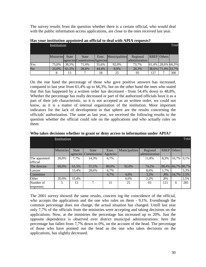The survey results from the question whether there is a certain official, who would deal with the public information access applications, are close to the ones received last year.

|                        |            |              |                               |       |                | <u>1109 your montanon appointed an omeiar to dear with the fequency.</u> |     |                        |     |  |  |  |
|------------------------|------------|--------------|-------------------------------|-------|----------------|--------------------------------------------------------------------------|-----|------------------------|-----|--|--|--|
|                        |            | Institution  |                               |       |                |                                                                          |     |                        |     |  |  |  |
|                        | Ministries | <b>State</b> | State                         | Exec. | Municipalities | Regional                                                                 |     | <b>RBEP</b> Others     |     |  |  |  |
|                        |            |              | agencies Commissions Agencies |       |                | administration                                                           |     |                        |     |  |  |  |
| Yes                    | 75.0%      | 38,5%        | 71.4%                         | 55,6% | 92.0%          | 73.7%                                                                    |     | $ 61,4\% $ 28,6% 66,3% |     |  |  |  |
| $\overline{\text{No}}$ | 25.0%      | 61.5%        | 28,6%                         | 44.4% | 8.0%           | 26.3%                                                                    |     | 38,6% 71,4% 33,7%      |     |  |  |  |
|                        |            | 13           |                               | 18    | 25             | 95                                                                       | 127 |                        | 300 |  |  |  |

**Has your institution appointed an official to deal with APIA requests?** 

On the one hand the percentage of those who gave positive answers has increased, compared to last year from 61,4% up to 66,3%, but on the other hand the ones who stated that this has happened by a written order has decreased - from 54,4% down to 48,8%. Whether the percentage has really decreased or part of the authorized officials have it as a part of their job characteristic, so it is not accepted as an written order, we could not know, as it is a matter of internal organization of the institution. More important indicators for the lack of development in that sphere are the results concerning the officials' authorization. The same as last year, we received the following results to the question whether the official could rule on the applications and who actually rules on them:

|                           | Institution       |              |              |          |                |                |             |               |       |  |  |
|---------------------------|-------------------|--------------|--------------|----------|----------------|----------------|-------------|---------------|-------|--|--|
|                           |                   |              |              |          |                |                |             |               |       |  |  |
|                           | <b>Ministries</b> | <b>State</b> | <b>State</b> | Exec.    | Municipalities | Regional       | <b>RBEP</b> | <b>Others</b> |       |  |  |
|                           |                   | agencies     | Commissions  | Agencies |                | administration |             |               |       |  |  |
| The appointed<br>official | 20,0%             | 7,7%         | 14,3%        | 6,7%     |                | 11,8%          | 8,3%        | 16,7%         | 9,1%  |  |  |
| The director              | 60.0%             | 61,5%        | 57,1%        | 80,0%    | 92,0%          | 74,2%          | 88,4%       | 66.7%         | 80,7% |  |  |
| Lawyer                    |                   | 15,4%        | 28,6%        | 6,7%     |                | 8,6%           | 1,7%        |               | 5,3%  |  |  |
| Committee                 |                   |              |              | 6,7%     | 4,0%           | 3,2%           | ,8%         | 16,7%         | 2,5%  |  |  |
| Other                     | 20,0%             | 15.4%        |              |          | 4,0%           | 2,2%           | $.8\%$      |               | 2,5%  |  |  |
| Number of<br>responses:   | 5.                | 13           | 7            | 15       | 25             | 93             | 121         | 6             | 285   |  |  |

**Who takes decisions whether to grant or deny access to information under APIA?** 

The 2001 survey showed the same results, concern ing the coincidence of the official, who accepts the applications and the one who rules on them - 9,1%. Eventhough the common percentage does not change, the actual situation has changed. Untill last year only 7,7% of the officials from the ministries were accepting and taking decisions on the applications. Now, at the ministries the percentage has increased up to 20%. Just the opposite dependence is observed over district municipal administrations: here the percentage has fallen from 7,7% down to 0%, on the account of the head. The percentage of those who have pointed out the head as the one who takes decisions on the applications, has slightly decreased.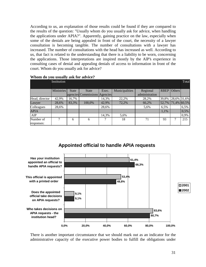According to us, an explanation of those results could be found if they are compared to the results of the question: "Usually whom do you usually ask for advice, when handling the applications under APIA?". Apparently, gaining practice on the law, especially when some of the denials are being appealed in front of the court, the necessity of a lawyer consultation is becoming tangible. The number of consultations with a lawyer has increased. The number of consultations with the head has increased as well. According to us, that fact is related to the understanding that there is a liability to be worn, concerning the applications. Those interpretations are inspired mostly by the AlP's experience in consulting cases of denial and appealing denials of access to information in front of the court. Whom do you usually ask for advice?

|                | Institution |              |                               |       |                |                |             |               | Total |
|----------------|-------------|--------------|-------------------------------|-------|----------------|----------------|-------------|---------------|-------|
|                | Ministries  | <b>State</b> | <b>State</b>                  | Exec. | Municipalities | Regional       | <b>RBEP</b> | <b>Others</b> |       |
|                |             |              | agencies Commissions Agencies |       |                | administration |             |               |       |
| Head, director | 42,9%       | 16,7%        |                               | 14,3% | 22,2%          | 28,2%          | 39,8%       | 28,6% 31,6%   |       |
| Lawyer         | 28,6%       | 83,3%        | 100,0%                        | 42,9% | 72,2%          | 66,2%          | 52,7%       | 71,4% 60,5%   |       |
| Colleagues     | 28,6%       |              |                               | 28,6% |                | 5,6%           | 6.5%        |               | 6,5%  |
| <b>APIA</b>    |             |              |                               |       |                |                | 1,1%        |               | 0,5%  |
| AIP            |             |              |                               | 14,3% | 5,6%           |                |             |               | 0,9%  |
| Number of      |             | 6            | 6                             |       | 18             | 71             | 93          | 7             | 215   |
| responses:     |             |              |                               |       |                |                |             |               |       |

#### **Whom do you usually ask for advice?**



# **Appointed official to handle APIA requests**

There is another important circumstance that we should mark out as an indicator for the administrative capacity of the executive power bodies to fulfill the obligations under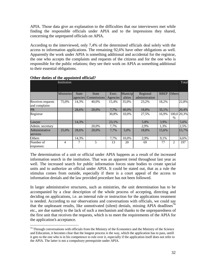APIA. Those data give an explanation to the difficulties that our interviewers met while finding the responsible officials under APIA and to the impressions they shared, concerning the unprepared officials on APIA.

According to the interviewed, only 7,4% of the determined officials deal solely with the access to information applications. The remaining 92,6% have other obligations as well. Apparently the work under APIA is something additional and accidental for the registrar, the one who accepts the complaints and requests of the citizens and for the one who is responsible for the public relations; they see their work on APIA as something additional to their essential obligations.

|                   | -тг<br>Institution |              |              |          |         |                |             |               | Total       |
|-------------------|--------------------|--------------|--------------|----------|---------|----------------|-------------|---------------|-------------|
|                   | <b>Ministries</b>  | <b>State</b> | <b>State</b> | Exec.    | Municip | Regional       | <b>RBEP</b> | <b>Others</b> |             |
|                   |                    | agencies     | Commissions  | Agencies | alities | administration |             |               |             |
| Receives requests | 75,0%              | 14,3%        | 40,0%        | 15,4%    | 35,0%   | 23,2%          | 18,2%       |               | 22,8%       |
| and complains     |                    |              |              |          |         |                |             |               |             |
| <b>PR</b>         |                    | 28.6%        | 20.0%        | 7.7%     | 40,0%   | 18,8%          | 35,1%       |               | 26,4%       |
| Registrar         |                    |              |              | 30,8%    | 10,0%   | 27,5%          | 16,9%       |               | 100,0 20,3% |
|                   |                    |              |              |          |         |                |             | $\%$          |             |
| Lawyer            |                    | 14,3%        |              | 23,1%    |         | 5,8%           | 3,9%        |               | 5,6%        |
| Admin. secretary  |                    |              | 20,0%        | 7,7%     |         | 2,9%           | 1,3%        |               | 2,5%        |
| Administrative    | 25,0%              | 28,6%        | 20,0%        | 7,7%     | 5,0%    | 18,8%          | 15,6%       |               | 15,7%       |
| services          |                    |              |              |          |         |                |             |               |             |
| Others            |                    | 14,3%        |              | 7,7%     | 10,0%   | 2,9%           | 9,1%        |               | 6,6%        |
| Number of         | 4                  |              | 5            | 13       | 20      | 69             | 77          | 2             | 197         |
| responses:        |                    |              |              |          |         |                |             |               |             |

### **Other duties of the appointed official?**

1

The determination of a unit or official under APIA happens as a result of the increased information search in the institution. That was an apparent trend throughout last year as well. The increased search for public information forces state bodies to create special units and to authorize an official under APIA. It could be stated out, that as a rule the stimulus comes from outside, especially if there is a court appeal of the access to information denials and the law provided procedure has not been followed.

In larger administrative structures, such as ministries, the unit determination has to be accompanied by a clear description of the whole process of accepting, directing and deciding on applications, i.e. an internal rule or instruction for the applications treatment is needed. According to our observations and conversations with officials, we could say that the unpleasant results, like unmotivated (silent) denials, missing APIA deadlines<sup>74</sup> etc., are due namely to the lack of such a mechanism and thanks to the unpreparedness of the first unit that receives the requests, which is to meet the requirements of the APIA for the application's acceptance.

 $74$  Through conversations with officials from the Ministry of the Economics and the Ministry of the Science and Education, it becomes clear that the longest process is the way, which the application has to pass, untill it gets to the one who is in his competence to rule over it, especially if the application itself does not refer to the APIA. The latter is not a compulsory prerequisite under APIA.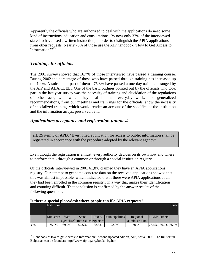Apparently the officials who are authorized to deal with the applications do need some kind of instructions, education and consultations. By now only 37% of the interviewed stated to have used a written instruction, in order to distinguish the APIA applications from other requests. Nearly 70% of those use the AIP handbook "How to Get Access to Information?"<sup>75</sup>.

# *Trainings for officials*

The 2001 survey showed that 16,7% of those interviewed have passed a training course. During 2002 the percentage of those who have passed through training has increased up to 41,4%. A substantial part of them - 75,8% have passed a one-day training arranged by the AIP and ABA/CEELI. One of the basic outlines pointed out by the officials who took part in the last year survey was the necessity of training and elucidation of the regulations of other acts, with which they deal in their everyday work. The generalized recommendations, from our meetings and train ings for the officials, show the necessity of specialized training, which would render an account of the specifics of the institution and the information arrays, preserved by it.

# *Applications acceptance and registration unit/desk*

art. 25 item 3 of APIA "Every filed application for access to public information shall be registered in accordance with the procedure adopted by the relevant agency".

Even though the registration is a must, every authority decides on its own how and where to perform that - through a common or through a special institution registry.

Of the officials interviewed in 2001 61,8% claimed they have an APIA applications registry. Our attempt to get some concrete data on the received applications showed that this was almost impossible, which indicated that if there were APIA applications at all, they had been enrolled in the common registry, in a way that makes their identification and counting difficult. That conclusion is confirmed by the answer results of the following questions:

|     |             |       |                               |       | IS there a special place/desk where people can life ATTA requests: |                |                    |       |
|-----|-------------|-------|-------------------------------|-------|--------------------------------------------------------------------|----------------|--------------------|-------|
|     | Institution |       |                               |       |                                                                    |                |                    | Total |
|     |             |       |                               |       |                                                                    |                |                    |       |
|     | Ministries  | State | State                         | Exec. | <b>Municipalities</b>                                              | Regional       | <b>RBEP</b> Others |       |
|     |             |       | agencies Commissions Agencies |       |                                                                    | administration |                    |       |
| Yes | 75,0%       | 69.2% | 87.5%                         | 58.8% | 92.0%                                                              | 78.4%          | 73,4% 50,0% 75,3%  |       |

### **Is there a special place/desk where people can file APIA requests?**

 $\overline{a}$ <sup>75</sup> Handbook "How to get Access to Information", second updated edition, AIP, Sofia, 2002. The full text in Bulgarian can be found at: [http://www.aip-bg.org/books\\_bg.htm](http://www.aip-bg.org/books_bg.htm)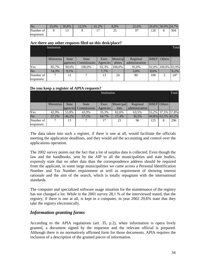| $\rm No$   | nε<br>25.0% | 30.8% | $-2,5\%$ | 41.2% | 8.0%      | $-1,6\%$ | 26.6% | $50,0\%$ 24,7% |     |
|------------|-------------|-------|----------|-------|-----------|----------|-------|----------------|-----|
| Number of  |             |       |          |       | ጎ 4<br>∸~ |          | 128   |                | 304 |
| responses: |             |       |          |       |           |          |       |                |     |

#### **Are there any other requests filed on this desk/place?**

|            | Institution       |              |                      |          |         |                |             |               |      |  |
|------------|-------------------|--------------|----------------------|----------|---------|----------------|-------------|---------------|------|--|
|            | <b>Ministries</b> | <b>State</b> | State                | Exec.    | Municip | Regional       | <b>RBEP</b> | <b>Others</b> |      |  |
|            |                   |              | agencies Commissions | Agencies | alities | administration |             |               |      |  |
| Yes        | 85,7%             | 90.9%        | 100,0%               | 92.3%    | 100.0%  | 95,0%          | 92.0%       | 100,0% 93,9%  |      |  |
| No         | 14.3%             | 9.1%         |                      | 7,7%     |         | 5,0%           | 8,0%        |               | 6,1% |  |
| Number of  |                   | 11           |                      | 13       | 24      | 80             | 100         |               | 247  |  |
| responses: |                   |              |                      |          |         |                |             |               |      |  |

### **Do you keep a register of APIA requests?**

|            | Institution       |              |                      |          |           |                |     |                    |     |  |  |
|------------|-------------------|--------------|----------------------|----------|-----------|----------------|-----|--------------------|-----|--|--|
|            |                   |              |                      |          |           |                |     |                    |     |  |  |
|            | <b>Ministries</b> | <b>State</b> | <b>State</b>         | Exec.    | Municipal | Regional       |     | <b>RBEP</b> Others |     |  |  |
|            |                   |              | agencies Commissions | Agencies | ities     | administration |     |                    |     |  |  |
| Yes        | 42,9%             | 53,8%        | 42.9%                | 35,3%    | 82,6%     | 63,5%          |     | 55,2% 37,5% 57,8%  |     |  |  |
| No         | 57.1%             | 46.2%        | 57.1%                | 64.7%    | 17.4%     | 36,5%          |     | 44,8% 62,5% 42,2%  |     |  |  |
| Number of  |                   | 13           |                      | 17       | 23        | 96             | 125 | 8                  | 296 |  |  |
| responses: |                   |              |                      |          |           |                |     |                    |     |  |  |

The data taken into such a register, if there is one at all, would facilitate the officials meeting the application deadlines, and they would aid the accounting and control over the applications operation.

The 2002 survey points out the fact that a lot of surplus data is collected. Even though the law and the handbooks, sent by the AIP to all the municipalities and state bodies, expressly state that no other data than the correspondence address should be required from the applicant, in some large municipalities we came across a Personal Identification Number and Tax Number requirement as well as requirement of showing interest rationale and the aim of the search, which is totally repugnant with the international standards.

The computer and specialized software usage situation for the maintenance of the registry has not changed a lot. While in the 2001 survey 28,1 % of the interviewed stated, that the registry, if there is one at all, is kept in a computer, in year 2002 29,6% state that they take the registry electronically.

# *Information granting forms*

According to the APIA regulations (art. 35, p.2), when information is opera lively granted, a document signed by the requestor and the relevant official is prepared. Although there is no normatively affirmed form for those documents, APIA requires the inclusion of a description of the granted pieces of information.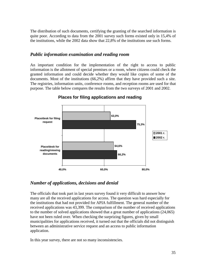The distribution of such documents, certifying the granting of the searched information is quite poor. According to data from the 2001 survey such forms existed only in 15,4% of the institutions, while the 2002 data show that 22,8% of the institutions use such forms.

## *Public information examination and reading room*

An important condition for the implementation of the right to access to public information is the allotment of special premises or a room, where citizens could check the granted information and could decide whether they would like copies of some of the documents. Most of the institutions (66,2%) affirm that they have provided such a site. The registries, information units, conference rooms, and reception rooms are used for that purpose. The table below compares the results from the two surveys of 2001 and 2002.



# **Places for filing applications and reading**

# *Number of applications, decisions and denial*

The officials that took part in last years survey found it very difficult to answer how many are all the received applications for access. The question was hard especially for the institutions that had not provided for APIA fulfillment. The general number of the received applications was 43,399. The comparison of the number of received applications to the number of solved applications showed that a great number of applications (24,065) have not been ruled over. When checking the surprizing figures, given by small municipalities for applications received, it turned out that the officials did not distinguish between an administrative service request and an access to public information application.

In this year survey, there are not so many inconsistencies.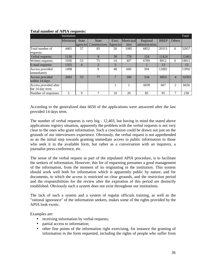|                       | Institution       |              |                |                |           |                |             |                | Total |
|-----------------------|-------------------|--------------|----------------|----------------|-----------|----------------|-------------|----------------|-------|
|                       | <b>Ministries</b> | <b>State</b> | <b>State</b>   | Exec.          | Municipal | Regional       | <b>RBEP</b> | <b>Others</b>  |       |
|                       |                   | agencies     | Commissions    | Agencies       | ities     | administration |             |                |       |
| Total number of       | 4401              | 57           | 85             | 58             | 1085      | 6852           | 20313       | 6              | 32857 |
| requests:             |                   |              |                |                |           |                |             |                |       |
| Verbal requests:      | 1130              |              | 8              | 39             | 778       | 154            | 11424       |                | 12403 |
| Written requests:     | 1936              | 53           | 75             | 14             | 307       | 6709           | 8912        | 6              | 18012 |
| E-mail requests:      | 1355              | 4            | $\overline{2}$ | 5              |           |                | 12          |                | 13    |
| Access provided       | 1498              |              | 8              | 48             | 660       | 394            | 12882       |                | 13992 |
| immediately           |                   |              |                |                |           |                |             |                |       |
| Access provided       | 2683              | 53           | 77             | $\overline{7}$ | 180       | 534            | 6855        | $\overline{4}$ | 10393 |
| within 14 days        |                   |              |                |                |           |                |             |                |       |
| Access provided after |                   |              |                |                |           | 6039           | 607         | $\mathcal{L}$  | 6650  |
| the 14-day term       |                   |              |                |                |           |                |             |                |       |
| Number of responses:  | 5                 | 9            | ⇁              | 10             | 20        | 85             | 95          | 7              | 238   |

### **Total number of APIA requests:**

According to the generalized data 6650 of the applications were answered after the law provided 14 days term.

The number of verbal requests is very big - 12,403, but having in mind the stated above applications registry situation, apparently the problem with the verbal requests is not very clear to the ones who grant information. Such a conclusion could be drawn out just on the grounds of our interviewers experience. Obviously, the verbal request is not apprehended as an the initial step towards granting immediate access to public information to those who seek it in the available form, but rather as a conversation with an inquirers, a journalist press-conference, etc.

The sense of the verbal request as part of the stipulated APIA procedure, is to facilitate the seekers of information. However, this for of requesting presumes a good management of the information, from the moment of its originating in the institution. This system should work well both for information which is apparently public by nature, and for documents, to which the access is restricted on clear grounds, and the restriction period and the responsibilities for the review after the expiration of this period are distinctly established. Obviously such a system does not exist throughout our institutions.

The lack of such a system and a system of regular officials training, as well as the "rational ignorance" of the information seekers, makes some of the rights provided by the APIA look exotic.

Examples are:

- receiving information by verbal requests;
- partial access to information;
- other fine points of the information right exercising, for instance the granting of information in the form requested, including the rights of people who suffer from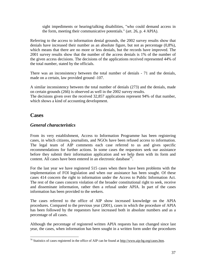sight impediments or hearing/talking disabilities, "who could demand access in the form, meeting their communicative potentials." (art. 26, p. 4 APIA).

Referring to the access to information denial grounds, the 2002 survey results show that denials have increased their number as an absolute figure, but not as percentage (0,8%), which means that there are no more or less denials, but the records have improved. The 2001 survey results show that the number of the access denials is 1% of the number of the given access decisions. The decisions of the applications received represented 44% of the total number, stated by the officials.

There was an inconsistency between the total number of denials - 71 and the denials, made on a certain, law provided ground -107.

A similar inconsistency between the total number of denials (273) and the denials, made on certain grounds (266) is observed as well in the 2002 survey results.

The decisions given over the received 32,857 applications represent 94% of that number, which shows a kind of accounting development.

# **Cases**

1

# *General characteristics*

From its very establishment, Access to Information Programme has been registering cases, in which citizens, journalists, and NGOs have been refused access to information. The legal team of AIP comments each case referred to us and gives specific recommendations for further actions. In some cases the requestors seek our assistance before they submit their information application and we help them with its form and content. All cases have been entered in an electronic database<sup>76</sup>.

For the last year we have registered 515 cases when there have been problems with the implementation of FOI legislation and when our assistance has been sought. Of these cases 414 concern the right to information under the Access to Public Information Act. The rest of the cases concern violation of the broader constitutional right to seek, receive and disseminate information, rather then a refusal under APIA. In part of the cases information has been provided to the seekers.

The cases referred to the office of AIP show increased knowledge on the APIA procedures. Compared to the previous year (2001), cases in which the procedure of APIA has been followed by the requestors have increased both in absolute numbers and as a percentage of all cases.

Although the percentage of registered written APIA requests has not changed since last year, the cases, when information has been sought in a written form under the procedures

<sup>&</sup>lt;sup>76</sup> Statistics of cases registered in the office of AIP can be found at  $\frac{http://www.aip-bg.org/cases.htm}{$ .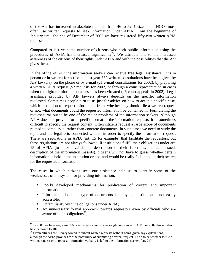of the Act has increased in absolute numbers from 46 to 52. Citizens and NGOs most often use written requests to seek information under APIA. From the beginning of January until the end of December of 2002 we have registered fifty-two written APIA requests.

Compared to last year, the number of citizens who seek public information using the procedures of APIA has increased significantly<sup>77</sup>. We attribute this to the increased awareness of the citizens of their rights under APIA and with the possibilities that the Act gives them.

In the office of AIP the information seekers can receive free legal assistance. It is in person or in written form (for the last year 380 written consultations have been given by AIP lawyers), on the phone or by e-mail (21 e-mail consultations for 2002), by preparing a written APIA request (52 requests for 2002) or through a court representation in cases when the right to information access has been violated (26 court appeals in 2002). Legal assistance provided by AIP lawyers always depends on the specific information requested. Sometimes people turn to us just for advice on how to act in a specific case, which institution to request information from, whether they should file a written request or not, what documents could the requested information be contained in. Formulating the request turns out to be one of the major problems of the information seekers. Although APIA does not provide for a specific format of the information requests, it is sometimes difficult to specify the request content. Often citizens request a large scope of documents related to some issue, rather than concrete documents. In such cases we need to study the topic and the legal acts connected with it, in order to specify the information request. There are regulations in APIA (art. 15 for example) that facilitate the requestors, but these regulations are not always followed. If institutions fulfill their obligations under art. 15 of APIA (to make available a description of their functions, the acts issued, description of the information massifs), citizens will not have to guess whether certain information is held in the institution or not, and would be really facilitated in their search for the requested information.

The cases in which citizens seek our assistance help us to identify some of the weaknesses of the system for providing information:

- Poorly developed mechanisms for publication of current and important information;
- Information about the type of documents kept by the institution is not easily accessible;
- Unfamiliarity with the obligations under APIA;
- An unnecessary formal approach towards requestors even by officials who are aware of their obligations<sup>78</sup>;

 $\overline{a}$  $^{77}$  In 2001 we have registered 56 cases when citizens have sought assistance of AIP. For 2002 this number has increased to 101

 $78$  Often citizens are literary forced to submit written requests without being given any explanations, although the APIA provides for the possibility of submitting a verbal request. The choice whether to file a written request or to request information verbally is left to the information seeker. (art. 24)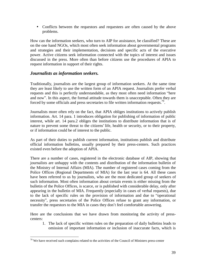• Conflicts between the requestors and requestees are often caused by the above problems.

How can the information seekers, who turn to AIP for assistance, be classified? These are on the one hand NGOs, which most often seek information about governmental programs and strategies and their implementation, decisions and specific acts of the executive power. Active citizens seek information connected with the topics of interest and issues discussed in the press. More often than before citizens use the procedures of APIA to request information in support of their rights.

# *Journalists as information seekers.*

 $\overline{a}$ 

Traditionally, journalists are the largest group of information seekers. At the same time they are least likely to use the written form of an APIA request. Journalists prefer verbal requests and this is perfectly understandable, as they most often need information "here and now". In this aspect, the formal attitude towards them is unacceptable. Often they are forced by some officials and press secretaries to file written information requests.<sup>79</sup>.

Journalists more often rely on the fact, that APIA obliges institutions to actively publish information. Art. 14 para. 1 introduces obligation for publishing of information of public interest, while art. 14 para.2 obliges the institutions to distribute information that is of nature to prevent some threat to the citizens' life, health or security, or to their property, or if information could be of interest to the public.

As part of their duties to publish current information, institutions publish and distribute official information bulletins, usually prepared by their press-centers. Such practices existed even before the adoption of APIA.

There are a number of cases, registered in the electronic database of AIP, showing that journalists are unhappy with the contents and distribution of the information bulletin of the Ministry of Internal Affairs (MIA). The number of registered cases coming from the Police Offices (Regional Departments of MIA) for the last year is 64. All these cases have been referred to us by journalists, who are the most dedicated group of seekers of such information. Most often information about certain events is either missing from the bulletin of the Police Offices, is scarce, or is published with considerable delay, only after appearing in the bulletin of MIA. Frequently (especially in cases of verbal requests), due to the lack of specific rules on the provision of information and due to "operational necessity", press secretaries of the Police Offices refuse to grant any information, or transfer the requestors to the MIA in cases they don't feel comfortable answering.

Here are the conclusions that we have drawn from monitoring the activity of presscenters:

1. The lack of specific written rules on the preparation of daily bulletins leads to omission of important information or inclusion of inaccurate facts, which is

 $79$  We have received such complains related to the activities of the Council of Ministers press-center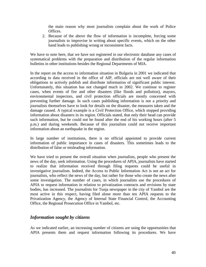the main reason why most journalists complain about the work of Police Offices.

2. Because of the above the flow of information is incomplete, forcing some journalists to improvise in writing about specific events, which on the other hand leads to publishing wrong or inconsistent facts.

We have to note here, that we have not registered in our electronic database any cases of systematical problems with the preparation and distribution of the regular information bulletins in other institutions besides the Regional Departments of MIA.

In the report on the access to information situation in Bulgaria in 2001 we indicated that according to data received in the office of AIP, officials are not well aware of their obligations to actively publish and distribute information of significant public interest. Unfortunately, this situation has not changed much in 2002. We continue to register cases, when events of fire and other disasters (like floods and pollution), mayors, environmental inspectors, and civil protection officials are mostly concerned with preventing further damage. In such cases publishing information is not a priority and journalists themselves have to look for details on the disaster, the measures taken and the damage caused. A typical example is a Civil Protection Office, which stopped providing information about disasters in its region. Officials stated, that only their head can provide such information, but he could not be found after the end of his working hours (after 5 p.m.) and during weekends. Because of this journalists could not receive important information about an earthquake in the region.

In large number of institutions, there is no official appointed to provide current information of public importance in cases of disasters. This sometimes leads to the distribution of false or misleading information.

We have tried to present the overall situation when journalists, people who present the news of the day, seek information. Using the procedures of APIA, journalists have started to realize that information received through filing requests could be useful in investigative journalism. Indeed, the Access to Public Information Act is not an act for journalists, who reflect the news of the day, but rather for those who create the news after some investigation. The number of cases, in which journalists use the procedures of APIA to request information in relation to privatization contracts and revisions by state bodies, has increased. The journalists for Tunja newspaper in the city of Yambol are the most active in this respect, having filed alone more than ten APIA requests to the Privatization Agency, the Agency of Internal State Financial Control, the Accounting Office, the Regional Prosecution Office in Yambol, etc.

### *Information sought by citizens*

As we indicated earlier, an increasing number of citizens are using the opportunities that APIA presents them and request information following its procedures. We have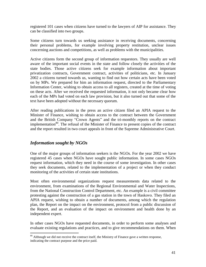registered 101 cases when citizens have turned to the lawyers of AIP for assistance. They can be classified into two groups.

Some citizens turn towards us seeking assistance in receiving documents, concerning their personal problems, for example involving property restitution, unclear issues concerning auctions and competitions, as well as problems with the municipalities.

Active citizens form the second group of information requestors. They usually are well aware of the important social events in the state and follow closely the activities of the state bodies. Those active citizens seek for example information about important privatization contracts, Government contract, activities of politicians, etc. In January 2002 a citizens turned towards us, wanting to find out how certain acts have been voted on by MPs. We prepared for him an information request, directed to the Parliamentary Information Center, wishing to obtain access to all registers, created at the time of voting on these acts. After we received the requested information, it not only became clear how each of the MPs had voted on each law provision, but it also turned out that some of the text have been adopted without the necessary quorum.

After reading publications in the press an active citizen filed an APIA request to the Minister of Finance, wishing to obtain access to the contract between the Government and the British Company "Crown Agents" and the tri-monthly reports on the contract implementation<sup>80</sup>. The refusal of the Minister of Finance to present copies of the contract and the report resulted in two court appeals in front of the Supreme Administrative Court.

# *Information sought by NGOs*

 $\overline{a}$ 

One of the major groups of information seekers is the NGOs. For the year 2002 we have registered 45 cases when NGOs have sought public information. In some cases NGOs request information, which they need in the course of some investigation. In other cases they seek documents, related to the implementation of a project or when they conduct monitoring of the activities of certain state institutions.

Most often environmental organizations request measurements data related to the environment, from examinations of the Regional Environmental and Water Inspections, from the National Construction Control Department, etc. An example is a civil committee protesting against the construction of a gas station in the town of Haskovo. They filed an APIA request, wishing to obtain a number of documents, among which the regulation plan, the Report on the impact on the environment, protocol from a public discussion of the Report, and an evaluation of the impact on environment and health done by an independent expert.

In other cases NGOs have requested documents, in order to perform some analyses and evaluate existing regulations and practices, and to give recommendations on them. When

 $80$  Although we did not receive the contract itself, the Ministry of Finance gave a written response, indicating the contract purpose and the price paid.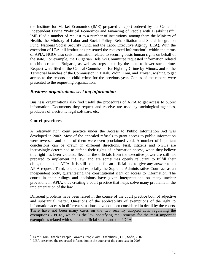the Institute for Market Economics (IME) prepared a report ordered by the Center of Independent Living "Political Economics and Financing of People with Disabilities"<sup>81</sup>, IME filed a number of request to a number of institutions, among them the Ministry of Health, the Ministry of Labor and Social Policy, Rehabilitation and Social Integration Fund, National Social Security Fund, and the Labor Executive Agency (LEA). With the exception of LEA, all institutions presented the requested information<sup>82</sup> within the terms of APIA. NGOs also seek information related to securing basic human rights on behalf of the state. For example, the Bulgarian Helsinki Committee requested information related to child crime in Bulgaria, as well as steps taken by the state to lower such crime. Request were filed to the Central Commission for Fighting Crime by Minors, and to the Territorial branches of the Commission in Batak, Vidin, Lom, and Troyan, wishing to get access to the reports on child crime for the previous year. Copies of the reports were presented to the requesting organization.

### *Business organizations seeking information*

Business organizations also find useful the procedures of APIA to get access to public information. Documents they request and receive are used by sociological agencies, producers of electronic legal software, etc.

# **Court practices**

 $\overline{a}$ 

A relatively rich court practice under the Access to Public Information Act was developed in 2002. Most of the appealed refusals to grant access to public information were reversed and some of them were even proclaimed void. A number of important conclusions can be drawn in different directions. First, citizens and NGOs are increasingly determined to defend their rights of information access, when they believe this right has been violated. Second, the officials from the executive power are still not prepared to implement the law, and are sometimes openly reluctant to fulfill their obligations under APIA. It is still common for an official not to give any answer to an APIA request. Third, courts and especially the Supreme Administrative Court act as an independent body, guaranteeing the constitutional right of access to information. The courts in their rulings and decisions have given interpretations on many unclear provisions in APIA, thus creating a court practice that helps solve many problems in the implementation of the law.

Different problems have been raised in the course of the court practice both of adjective and substantial matter. Questions of the applicability of exemptions of the right to information access in different situations have not been considered in detail by the courts. There have not been many cases on the two recently adopted acts, regulating the exemptions - PCIA, which is the law specifying requirements for the most important exemptions related with state and official secret and the PDPA.

<sup>&</sup>lt;sup>81</sup> See: "From Disabled People Towards People with Disabilities", CIL, Sofia, 2002

 $82$  LEA presented the requested information in the course of the court case in 2003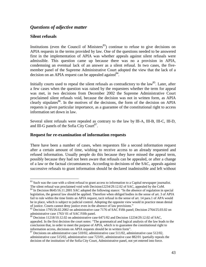# *Questions of adjective matter*

### **Silent refusals**

 $\overline{a}$ 

Institutions (even the Council of Ministers $^{83}$ ) continue to refuse to give decisions on APIA requests in the terms provided by law. One of the questions needed to be answered first in the implementation of APIA was whether appeals against silent refusals were admissible. This question came up because there was no a provision in APIA, condemning an eventual lack of an answer as a silent refusal. In two cases, the fivemember panel of the Supreme Administrative Court adopted the view that the lack of a decision on an APIA request can be appealed against  $84$ .

Initially courts used to repeal the silent refusals as contradictory to the  $law<sup>85</sup>$ . Later, after a few cases when the question was raised by the requestees whether the term for appeal was met, in two decisions from December 2002 the Supreme Administrative Court proclaimed silent refusals void, because the decision was not in written form, as APIA clearly stipulates<sup>86</sup>. In the motives of the decisions, the form of the decision on APIA requests is given particular importance, as a guarantee of the constitutional right to access information set down in law.

Several silent refusals were repealed as contrary to the law by ІІІ-А, ІІІ-В, ІІІ-C, ІІІ-D, and III-G panels of the Sofia City Court<sup>87</sup>.

### **Request for re-examination of information requests**

There have been a number of cases, when requestors file a second information request after a certain amount of time, wishing to receive access to an already requested and refused information. Usually people do this because they have missed the appeal term, possibly because they had not been aware that refusals can be appealed, or after a change of a law or the factual circumstances. According to decisions of the SAC, appeals against successive refusals to grant information should be declared inadmissible and left without

<sup>&</sup>lt;sup>83</sup> Such was the case with a silent refusal to grant access to information to a Capital newspaper journalist. The silent refusal was proclaimed void with Decision12234/29.12.02 of SAC, appealed by the CoM.

<sup>&</sup>lt;sup>84</sup> In Decision 8645/16.11.2001 SAC adopted the following stance: "In the absence of regulation in special legislation, the general law should be applied. Therefore when obliged bodies in the sense of art. 3 of APIA fail to rule within the time limits an APIA request, tacit refusal in the sense of art. 14 para.1 of APA would be in place, which is subject to judicial control. Adopting the opposite view would in practice mean denial of justice. Courts cannot deny justice even in the absence of law provisions."

<sup>&</sup>lt;sup>85</sup> Decision 1795/26.02.2002 on administrative case 7176 of SAC Fifth panel; Decision 2764/25.03.02 on administrative case 1763/ 01 of SAC Fifth panel.

<sup>&</sup>lt;sup>86</sup> Decision 11218/10.12.02 on administrative case  $6471/02$  and Decision 12234/29.12.02 of SAC, appealed. In the first decision the court notes: "The grammatical and logical analysis of the law leads to the conclusion that, in order to meet the purpose of APIA, which is to guarantee the constitutional right to information access, decisions on APIA requests should be in written form".

 $87$  Decisions on administrative case 510/02, administrative case 511/02, administrative case 512/02, administrative case 515/02, administrative case 723/01, administrative case 882/01 /partially repeals the decision of the institution/ of the Sofia City Court, Administrative panel, not yet entered into force.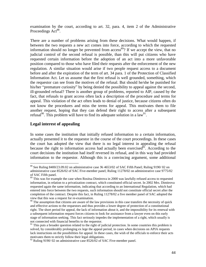examination by the court, according to art. 32, para. 4, item 2 of the Administrative Proceedings Act<sup>88</sup>.

There are a number of problems arising from these decisions. What would happen, if between the two requests a new act comes into force, according to which the requested information should no longer be prevented from  $access^{89}$ ? If we accept the view, that no judicial control of the second refusal is possible, than this will put citizens who have requested certain information before the adoption of an act into a more unfavorable position compared to those who have filed their requests after the enforcement of the new regulation. A similar situation would arise if two people request access to a document before and after the expiration of the term of art. 34 para. 1 of the Protection of Classified Information Act. Let us assume that the first refusal is well grounded, something, which the requestor can see from the motives of the refusal. But should he/she be punished for his/her "premature curiosity" by being denied the possibility to appeal against the second, ill-grounded refusal? There is another group of problems, reported to AIP, caused by the fact, that refusals to grant access often lack a description of the procedure and terms for appeal. This violation of the act often leads to denial of justice, because citizens often do not know the procedures and miss the terms for appeal. This motivates them to file another request, hoping that they can defend their right to access after a subsequent refusal<sup>90</sup>. This problem will have to find its adequate solution in a law<sup>91</sup>.

### **Legal interest of appealing**

 $\overline{a}$ 

In some cases the institution that initially refused information to a certain information, actually presented it to the requestor in the course of the court proceedings. In these cases the court has adopted the view that there is no legal interest in appealing the refusal because the right to information access had actually been exercised<sup> $\delta$ 2</sup>. According to the court decisions the institution had itself reversed its refusal, and in this way had provided information to the requestor. Although this is a convincing argument, some additional

<sup>&</sup>lt;sup>88</sup> See Ruling 8400/23.09.02 on administrative case № 4653/02 of SAC Fifth Panel; Ruling 9190/02 on administrative case 8526/02 of SAC Five-member panel; Ruling 11278/02 on administrative case 9775/02 of SAC Fifth panel.

<sup>&</sup>lt;sup>89</sup> This was for example the case when Rositsa Dimitrova in 2000 was lawfully refused access to requested information, in relation to a privatization contract, which constituted official secret. In 2002 Mrs. Dimitrova requested again the same information, indicating that according to an International Regulation, which had entered into force between the two requests, such information should not constitute official secret after the completion of the contract. Despite this fact, in Ruling 11278/02 a five member panel of SAC adopted the view that this was a request for re-examination.

<sup>&</sup>lt;sup>90</sup> The assumption that citizens are aware of the law provisions in this case transfers the necessity of quick and effective actions to the requestors and thus provides a lower degree of protection of a constitutional right. The short period for appeal, the lack of information about it, and the impossibility for its renewal with a subsequent information request forces citizens to look for assistance from a lawyer even on this early stage of information seeking. This fact seriously impedes the implementation of a right, which usually is not connected with financial benefits to the requestor.

<sup>&</sup>lt;sup>91</sup> This puts a broader question related to the right of judicial protection. In some countries this problem is solved, by considerably prolonging ex lege the appeal period, in cases when decisions on APIA requests lack instructions on the possibilities for appeal. In these cases, the wish of the officials to enforce their acts motivates them to strictly follow their legal obligations.

 $92$  Ruling 9190/02 on administrative case 8526/02 of SAC Five-member panel.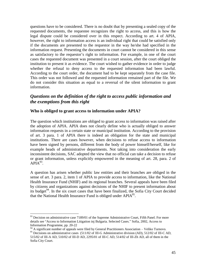questions have to be considered. There is no doubt that by presenting a sealed copy of the requested documents, the requestee recognizes the right to access, and this is how the legal dispute could be considered over in this respect. According to art. 4 of APIA, however, the right to information access is an individual right that could be satisfied only if the documents are presented to the requestor in the way he/she had specified in the information request. Presenting the documents in court cannot be considered in this sense as satisfactory to the requestor's right to information. For example, in one of the court cases the requested document was presented in a court session, after the court obliged the institution to present it as evidence. The court wished to gather evidence in order to judge whether the refusal to deny access to the requested information had been lawful. According to the court order, the document had to be kept separately from the case file. This order was not followed and the requested information remained part of the file. We do not consider this situation as equal to a reversal of the silent information to grant information.

# *Questions on the definition of the right to access public information and the exemptions from this right*

### **Who is obliged to grant access to information under APIA?**

The question which institutions are obliged to grant access to information was raised after the adoption of APIA. APIA does not clearly define who is actually obliged to answer information requests in a certain state or municipal institution. According to the provision of art. 3 para. 1 of APIA there is indeed an obligation for the state and municipal institutions. There are cases however, when decisions to refuse access to information have been signed by persons, different from the body of power himself/herself, like for example heads of administrative departments. Not taking into consideration the early inconsistent decisions, SAC adopted the view that no official can take a decision to refuse or grant information, unless explicitly empowered in the meaning of art. 28, para. 2 of  $APIA^{93}$ .

A question has arisen whether public law entities and their branches are obliged in the sense of art. 3 para. 2, item 1 of APIA to provide access to information, like the National Health Insurance Fund (NHIF) and its regional branches. Several appeals have been filed by citizens and organizations against decisions of the NHIF to present information about its budget<sup>94</sup>. In the six court cases that have been finalized, the Sofia City Court decided that the National Health Insurance Fund is obliged under APIA<sup>95</sup>.

 $93$  Decision on administrative case 7189/01 of the Supreme Administrative Court, Fifth Panel. For more details see "Access to Information Litigation inj Bulgaria. Selected Cases." Sofia, 2002, Access to Information Programme, pp. 20-22

<sup>&</sup>lt;sup>94</sup> A significant number of appeals were filed by General Practitioners Association – Veliko Turnovo.

<sup>&</sup>lt;sup>95</sup> Decisions on administrative cases (511/02 of III-G Administrative division (AD), 512/02 of III-C AD, 515/02 of ІІІ-A AD, 510/02 of ІІІ-D AD, 2295/01 of ІІІ-C AD, 514/02 of ІІІ-Zh AD, all of them in the Sofia City Court.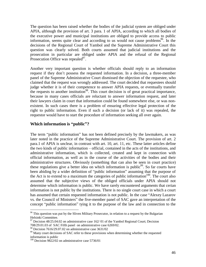The question has been raised whether the bodies of the judicial system are obliged under APIA, although the provision of art. 3 para. 1 of APIA, according to which all bodies of the executive power and municipal institutions are obliged to provide access to public information, seems quite clear and according to us would not cause problems<sup>96</sup>. In the decisions of the Regional Court of Yambol and the Supreme Administrative Court this question was clearly solved. Both courts assumed that judicial institutions and the prosecution in particular are obliged under APIA and the refusal of the Regional Prosecution Office was repealed<sup>97</sup>.

Another very important question is whether officials should reply to an information request if they don't possess the requested information. In a decision, a three-member panel of the Supreme Administrative Court dismissed the objection of the requestee, who claimed that the request was wrongly addressed. The court decided that requestees should judge whether it is of their competence to answer APIA requests, or eventually transfer the requests to another institution<sup>98</sup>. This court decision is of great practical importance, because in many cases officials are reluctant to answer information request, and later their lawyers claim in court that information could be found somewhere else, or was nonexistent. In such cases there is a problem of ensuring effective legal protection of the right to public information. Even if such a decision (or lack of it) was repealed, the requestor would have to start the procedure of information seeking all over again.

### **Which information is "public"?**

The term "public information" has not been defined precisely by the lawmakers, as was later noted in the practice of the Supreme Administrative Court. The provision of art. 2 para.1 of APIA is unclear, in contrast with art. 10, art. 11, etc. These latter articles define the two kinds of public information – official, contained in the acts of the institutions, and administrative information, which is collected, created and kept in connection with official information, as well as in the course of the activities of the bodies and their administrative structures. Obviously (something that can also be seen in court practice) these regulations give a better idea on which information is public<sup>99</sup>. So far courts have been abiding by a wider definition of "public information" assuming that the purpose of the Act is to extend to a maximum the categories of public information $100$ . The court also assumed that the subjective views of the obliged officials under APIA should not determine which information is public. We have rarely encountered arguments that cerian information is not public by the institutions. There is no single court case in which a court has assumed that certain requested information is not public. In the case "Alexey Lazarov vs. the Council of Ministers" the five-member panel of SAC gave an interpretation of the concept "public information" tying it to the purpose of the law and in connection to the

 $96$  This question was put by the Sliven Military Prosecutor, in relation to a request by the Bulgarian Helsinki Committee.

 $97$  Decision 48/25.04.02 on administrative case 162/01 of the Yambol Regional Court; Decision 708/29.01.03 of SAC Fifth panel on administrative case 6269/02.

<sup>98</sup> Decision 7616/29.07.02 on administrative case 3631/02

<sup>&</sup>lt;sup>99</sup> Many court decisions of SAC refer to these provisions when determining whether the requested information is public

 $100$  Decision 9822/02 on administrative case 5736/01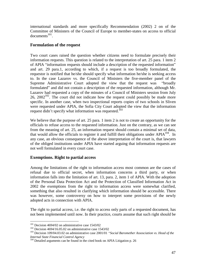international standards and more specifically Recommendation (2002) 2 on of the Committee of Ministers of the Council of Europe to member-states on access to official  $documents<sup>101</sup>$ .

### **Formulation of the request**

Two court cases raised the question whether citizens need to formulate precisely their information requests. This question is related to the interpretation of art. 25 para. 1 item 2 of APIA "information requests should include a description of the requested information" and art. 29 para.1, according to which, if a request is too broadly formulated, the requestor is notified that he/she should specify what information he/she is seeking access to. In the case Lazarov vs. the Council of Ministers the five-member panel of the Supreme Administrative Court adopted the view that the request was "broadly formulated" and did not contain a description of the requested information, although Mr. Lazarov had requested a copy of the minutes of a Council of Ministers session from July  $26$ ,  $2002^{102}$ . The court did not indicate how the request could possibly be made more specific. In another case, when two inspectional reports copies of two schools in Sliven were requested under APIA, the Sofia City Court adopted the view that the information request didn't specify what information was requested.<sup>103</sup>

We believe that the purpose of art. 25 para. 1 item 2 is not to create an opportunity for the officials to refuse access to the requested information. Just on the contrary, as we can see from the meaning of art. 25, an information request should contain a minimal set of data, that would allow the officials to register it and fulfill their obligations under APIA<sup>104</sup>. In any case, an obvious consequence of the above interpretation of the court is, that lawyers of the obliged institutions under APIA have started arguing that information requests are not well formulated in every court case.

### **Exemptions. Right to partial access**

Among the limitations of the right to information access most common are the cases of refusal due to official secret, when information concerns a third party, or when information falls into the limitation of art. 13, para. 2, item 1 of APIA. With the adoption of the Personal Data Protection Act and the Protection of Classified Information Act in 2002 the exemptions from the right to information access were somewhat clarified, something that also resulted in clarifying which information should be accessible. There was however, some controversy on how to interpret some provisions of the newly adopted acts in connection with APIA.

The right to partial access, i.e. the right to access only parts of a requested document, has not been implemented until now. In their practice, courts assume that such right should be

 $101$  Decision 4694/02 on administrative case 1543/02

 $102$  Decision 4694/16.05.02 on administrative case 1543/02

<sup>103</sup> Decision 109/04.03.02 on administrative case 2001/01 "*Social Baromether Assosciation vs. Head of the Internal State Financial Control Agency*

<sup>&</sup>lt;sup>104</sup> Detailed arguments can be found in the cited book on APIA Litigation p. 26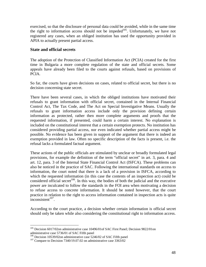exercised, so that the disclosure of personal data could be avoided, while in the same time the right to information access should not be impeded $105$ . Unfortunately, we have not registered any cases, when an obliged institution has used the opportunity provided in APIA to actually present partial access.

### **State and official secrets**

The adoption of the Protection of Classified Information Act (PCIA) created for the first time in Bulgaria a more complete regulation of the state and official secrets. Some appeals have already been filed to the courts against refusals, based on provisions of PCIA.

So far, the courts have given decisions on cases, related to official secret, but there is no decision concerning state secret.

There have been several cases, in which the obliged institutions have motivated their refusals to grant information with official secret, contained in the Internal Financial Control Act, The Tax Code, and The Act on Special Investigative Means. Usually the refusals to grant information access include only the provision defining certain information as protected, rather then more complete arguments and proofs that the requested information, if presented, could harm a certain interest. No explanation is included on the constitutional interest that a certain exemption protects. No institution has considered providing partial access, nor even indicated whether partial access might be possible. No evidence has been given in support of the argument that there is indeed an exemption provided in law. Often no specific description of the facts is present, i.e. the refusal lacks a formulated factual argument.

These actions of the public officials are stimulated by unclear or broadly formulated legal provisions, for example the definition of the term "official secret" in art. 3, para. 4 and art. 12, para. 3 of the Internal State Financial Control Act (ISFCA). These problems can also be noticed in the practice of SAC. Following the international standards on access to information, the court noted that there is a lack of a provision in ISFCA, according to which the requested information (in this case the contents of an inspection act) could be considered official secret<sup>106</sup>. In this way, the bodies of both the judicial and the executive power are inculcated to follow the standards in the FOI area when motivating a decision to refuse access to concrete information. It should be noted however, that the court practice in relation to the right to access information contained in inspection acts is quite inconsistent*<sup>107</sup>* .

According to the court practice, a decision whether certain information is official secret should only be taken while also considering the constitutional right to information access.

<sup>&</sup>lt;sup>105</sup> Decision 6017/02on administrative case 10496/01of SAC First Panel; Decision 9822/01on administrative case 5736/01 of SAC Fifth panel

<sup>&</sup>lt;sup>106</sup> Decision 10539/02on administrative case 5246/02 of SAC Fifth panel

<sup>&</sup>lt;sup>107</sup> Compare to Decision 7340/19.07.02 on administrative case 3363/02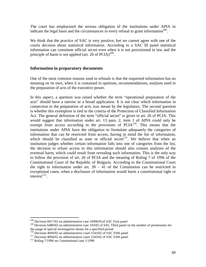The court has emphasized the serious obligation of the institutions under APIA to indicate the legal basis and the circumstances in every refusal to grant information<sup>108</sup>.

We think that the practice of SAC is very positive, but we cannot agree with one of the courts decision about statistical information. According to a SAC III panel statistical information can constitute official secret even when it is not provisioned in law and the principle of harm is not applied (art. 26 of  $PCIA$ )<sup>109</sup>.

### **Information in preparatory documents**

One of the most common reasons used in refusals is that the requested information has no meaning on its own, when it is contained in opinions, recommendations, analyses used in the preparation of acts of the executive power.

In this aspect, a question was raised whether the term "operational preparation of the acts" should have a narrow or a broad application. It is not clear which information in connection to the preparation of acts, was meant by the legislators. The second question is whether this exemption is tied to the criteria of the Protection of Classified Information Act. The general definition of the term "official secret" is given in art. 26 of PCIA. This would suggest that information under art. 13 para. 2, item 1 of APIA could only be exempt from access according to the provisions of  $PCIA<sup>110</sup>$ . This means that the institutions under APIA have the obligation to formulate adequately the categories of information that can be restricted from access, having in mind the list of information, which should be classified as state or official secret<sup>111</sup>. We believe that when an institution judges whether certain information falls into one of categories from the list, the decision to refuse access to this information should also contain analyses of the eventual harm, which could result from revealing such information. This is the only way to follow the provision of art. 26 of PCIA and the meaning of Ruling 7 of 1996 of the Constitutional Court of the Republic of Bulgaria. According to the Constitutional Court the right to information under art.  $39 - 41$  of the Constitution can be restricted in exceptional cases, when a disclosure of information would harm a constitutional right or  $\text{interest}^{112}$ .

<u>.</u>

<sup>&</sup>lt;sup>108</sup> Decision 6017/02 on administrative case 10496/01of SAC First panel

<sup>&</sup>lt;sup>109</sup> Decision 6480/02 on administrative case 103/02 of SAC Third panel on the number of permissions for the usage of special investigative means for a specified period

<sup>&</sup>lt;sup>110</sup> Decision 4694/02 on administrative court 1543/02 of SAC Fifth panel

 $111$  Decision 4694/02 on administrative court 1543/02 of SAC Fifth panel

 $112$  Ruling 7/1996 on Constitutional case 1/1996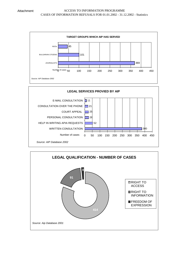

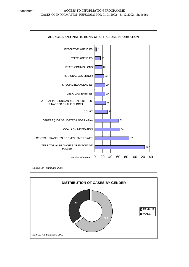

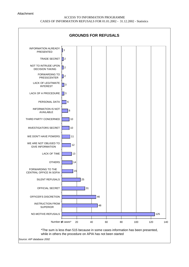#### Attachment

### ACCESS TO INFORMATION PROGRAMME CASES OF INFORMATION REFUSALS FOR 01.01.2002 - 31.12.2002 - Statistics